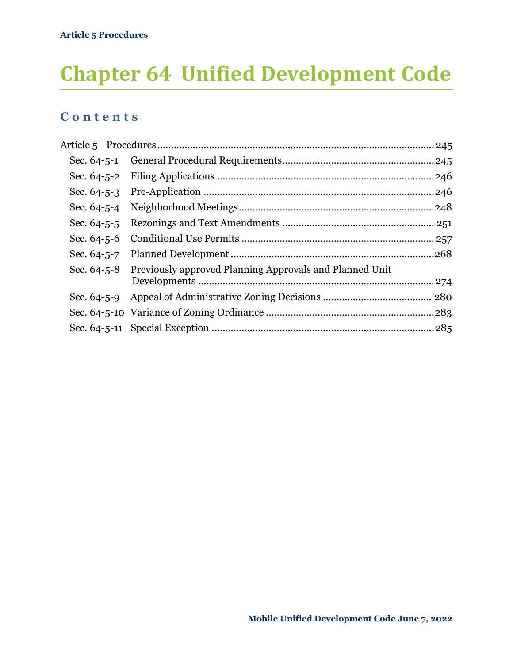# **Chapter 64 Unified Development Code**

### **C o n t e n t s**

| Sec. 64-5-4       |                                                                     |  |
|-------------------|---------------------------------------------------------------------|--|
| Sec. $64 - 5 - 5$ |                                                                     |  |
| Sec. $64 - 5 - 6$ |                                                                     |  |
| Sec. $64 - 5 - 7$ |                                                                     |  |
|                   | Sec. 64-5-8 Previously approved Planning Approvals and Planned Unit |  |
|                   |                                                                     |  |
|                   |                                                                     |  |
|                   |                                                                     |  |
|                   |                                                                     |  |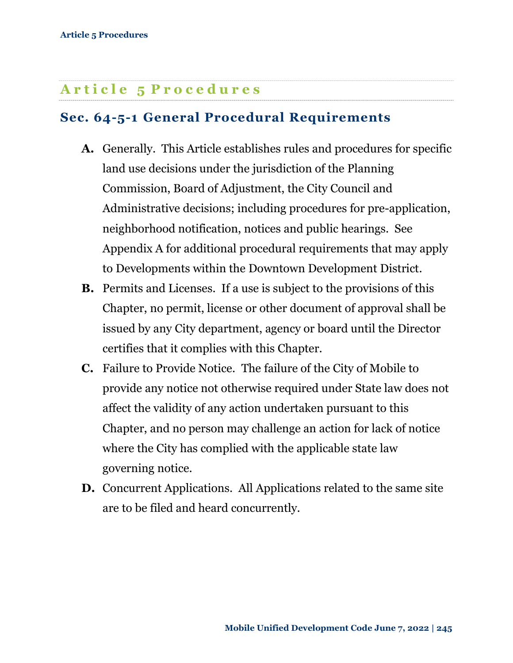### <span id="page-1-0"></span>**A r t i c l e 5 P r o c e d u r e s**

### <span id="page-1-1"></span>**Sec. 64-5-1 General Procedural Requirements**

- **A.** Generally. This Article establishes rules and procedures for specific land use decisions under the jurisdiction of the Planning Commission, Board of Adjustment, the City Council and Administrative decisions; including procedures for pre-application, neighborhood notification, notices and public hearings. See Appendix A for additional procedural requirements that may apply to Developments within the Downtown Development District.
- **B.** Permits and Licenses. If a use is subject to the provisions of this Chapter, no permit, license or other document of approval shall be issued by any City department, agency or board until the Director certifies that it complies with this Chapter.
- **C.** Failure to Provide Notice.The failure of the City of Mobile to provide any notice not otherwise required under State law does not affect the validity of any action undertaken pursuant to this Chapter, and no person may challenge an action for lack of notice where the City has complied with the applicable state law governing notice.
- **D.** Concurrent Applications. All Applications related to the same site are to be filed and heard concurrently.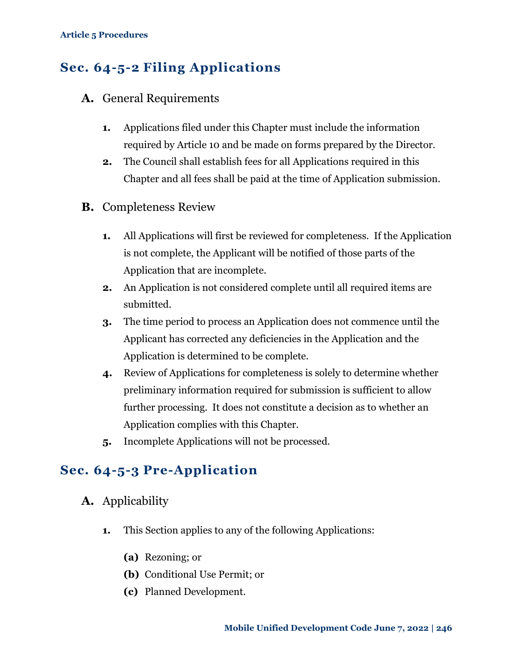### <span id="page-2-0"></span>**Sec. 64-5-2 Filing Applications**

- **A.** General Requirements
	- **1.** Applications filed under this Chapter must include the information required by Article 10 and be made on forms prepared by the Director.
	- **2.** The Council shall establish fees for all Applications required in this Chapter and all fees shall be paid at the time of Application submission.
- **B.** Completeness Review
	- **1.** All Applications will first be reviewed for completeness. If the Application is not complete, the Applicant will be notified of those parts of the Application that are incomplete.
	- **2.** An Application is not considered complete until all required items are submitted.
	- **3.** The time period to process an Application does not commence until the Applicant has corrected any deficiencies in the Application and the Application is determined to be complete.
	- **4.** Review of Applications for completeness is solely to determine whether preliminary information required for submission is sufficient to allow further processing. It does not constitute a decision as to whether an Application complies with this Chapter.
	- **5.** Incomplete Applications will not be processed.

### <span id="page-2-1"></span>**Sec. 64-5-3 Pre-Application**

- **A.** Applicability
	- **1.** This Section applies to any of the following Applications:
		- **(a)** Rezoning; or
		- **(b)** Conditional Use Permit; or
		- **(c)** Planned Development.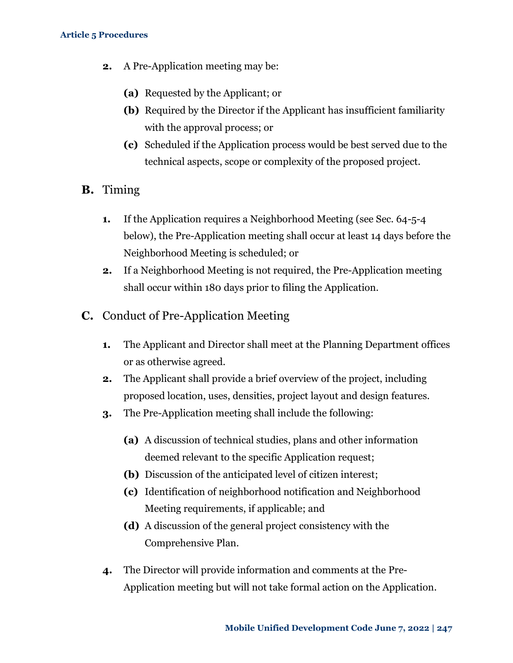- **2.** A Pre-Application meeting may be:
	- **(a)** Requested by the Applicant; or
	- **(b)** Required by the Director if the Applicant has insufficient familiarity with the approval process; or
	- **(c)** Scheduled if the Application process would be best served due to the technical aspects, scope or complexity of the proposed project.
- **B.** Timing
	- **1.** If the Application requires a Neighborhood Meeting (see [Sec. 64-5-4](#page-4-0)  [below\)](#page-4-0), the Pre-Application meeting shall occur at least 14 days before the Neighborhood Meeting is scheduled; or
	- **2.** If a Neighborhood Meeting is not required, the Pre-Application meeting shall occur within 180 days prior to filing the Application.
- **C.** Conduct of Pre-Application Meeting
	- **1.** The Applicant and Director shall meet at the Planning Department offices or as otherwise agreed.
	- **2.** The Applicant shall provide a brief overview of the project, including proposed location, uses, densities, project layout and design features.
	- **3.** The Pre-Application meeting shall include the following:
		- **(a)** A discussion of technical studies, plans and other information deemed relevant to the specific Application request;
		- **(b)** Discussion of the anticipated level of citizen interest;
		- **(c)** Identification of neighborhood notification and Neighborhood Meeting requirements, if applicable; and
		- **(d)** A discussion of the general project consistency with the Comprehensive Plan.
	- **4.** The Director will provide information and comments at the Pre-Application meeting but will not take formal action on the Application.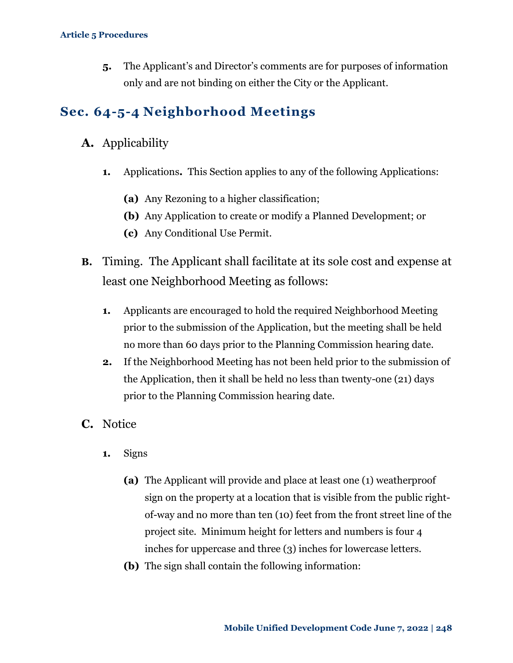**5.** The Applicant's and Director's comments are for purposes of information only and are not binding on either the City or the Applicant.

### <span id="page-4-0"></span>**Sec. 64-5-4 Neighborhood Meetings**

- **A.** Applicability
	- **1.** Applications**.** This Section applies to any of the following Applications:
		- **(a)** Any Rezoning to a higher classification;
		- **(b)** Any Application to create or modify a Planned Development; or
		- **(c)** Any Conditional Use Permit.
- **B.** Timing.The Applicant shall facilitate at its sole cost and expense at least one Neighborhood Meeting as follows:
	- **1.** Applicants are encouraged to hold the required Neighborhood Meeting prior to the submission of the Application, but the meeting shall be held no more than 60 days prior to the Planning Commission hearing date.
	- **2.** If the Neighborhood Meeting has not been held prior to the submission of the Application, then it shall be held no less than twenty-one (21) days prior to the Planning Commission hearing date.
- **C.** Notice
	- **1.** Signs
		- **(a)** The Applicant will provide and place at least one (1) weatherproof sign on the property at a location that is visible from the public rightof-way and no more than ten (10) feet from the front street line of the project site. Minimum height for letters and numbers is four 4 inches for uppercase and three (3) inches for lowercase letters.
		- **(b)** The sign shall contain the following information: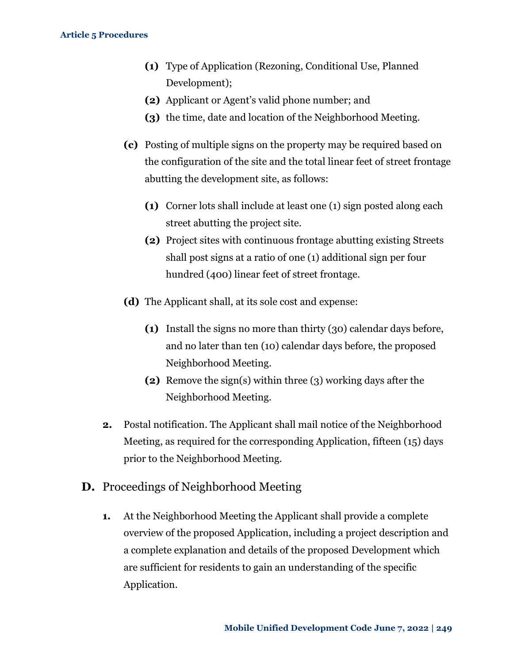- **(1)** Type of Application (Rezoning, Conditional Use, Planned Development);
- **(2)** Applicant or Agent's valid phone number; and
- **(3)** the time, date and location of the Neighborhood Meeting.
- **(c)** Posting of multiple signs on the property may be required based on the configuration of the site and the total linear feet of street frontage abutting the development site, as follows:
	- **(1)** Corner lots shall include at least one (1) sign posted along each street abutting the project site.
	- **(2)** Project sites with continuous frontage abutting existing Streets shall post signs at a ratio of one (1) additional sign per four hundred (400) linear feet of street frontage.
- **(d)** The Applicant shall, at its sole cost and expense:
	- **(1)** Install the signs no more than thirty (30) calendar days before, and no later than ten (10) calendar days before, the proposed Neighborhood Meeting.
	- **(2)** Remove the sign(s) within three (3) working days after the Neighborhood Meeting.
- **2.** Postal notification. The Applicant shall mail notice of the Neighborhood Meeting, as required for the corresponding Application, fifteen (15) days prior to the Neighborhood Meeting.
- **D.** Proceedings of Neighborhood Meeting
	- **1.** At the Neighborhood Meeting the Applicant shall provide a complete overview of the proposed Application, including a project description and a complete explanation and details of the proposed Development which are sufficient for residents to gain an understanding of the specific Application.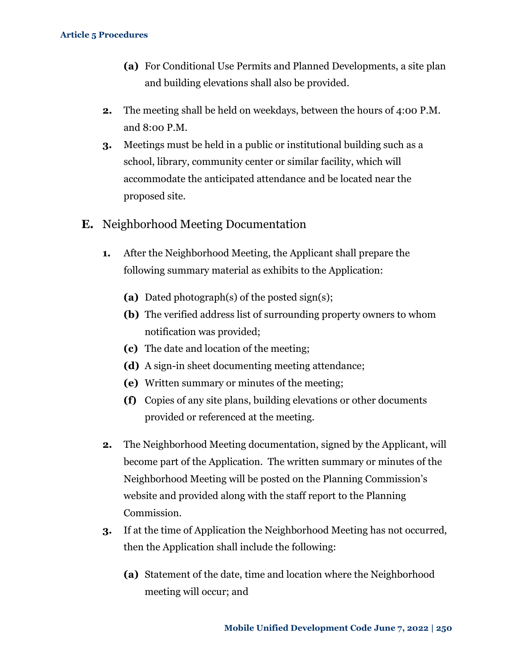- **(a)** For Conditional Use Permits and Planned Developments, a site plan and building elevations shall also be provided.
- **2.** The meeting shall be held on weekdays, between the hours of 4:00 P.M. and 8:00 P.M.
- **3.** Meetings must be held in a public or institutional building such as a school, library, community center or similar facility, which will accommodate the anticipated attendance and be located near the proposed site.
- **E.** Neighborhood Meeting Documentation
	- **1.** After the Neighborhood Meeting, the Applicant shall prepare the following summary material as exhibits to the Application:
		- **(a)** Dated photograph(s) of the posted sign(s);
		- **(b)** The verified address list of surrounding property owners to whom notification was provided;
		- **(c)** The date and location of the meeting;
		- **(d)** A sign-in sheet documenting meeting attendance;
		- **(e)** Written summary or minutes of the meeting;
		- **(f)** Copies of any site plans, building elevations or other documents provided or referenced at the meeting.
	- **2.** The Neighborhood Meeting documentation, signed by the Applicant, will become part of the Application. The written summary or minutes of the Neighborhood Meeting will be posted on the Planning Commission's website and provided along with the staff report to the Planning Commission.
	- **3.** If at the time of Application the Neighborhood Meeting has not occurred, then the Application shall include the following:
		- **(a)** Statement of the date, time and location where the Neighborhood meeting will occur; and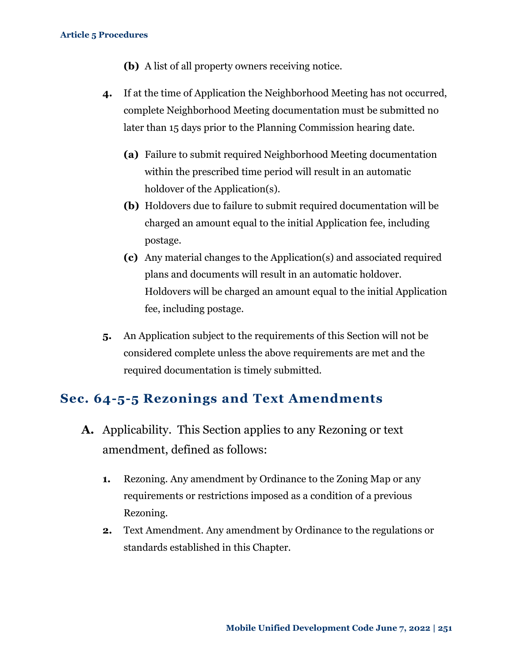- **(b)** A list of all property owners receiving notice.
- **4.** If at the time of Application the Neighborhood Meeting has not occurred, complete Neighborhood Meeting documentation must be submitted no later than 15 days prior to the Planning Commission hearing date.
	- **(a)** Failure to submit required Neighborhood Meeting documentation within the prescribed time period will result in an automatic holdover of the Application(s).
	- **(b)** Holdovers due to failure to submit required documentation will be charged an amount equal to the initial Application fee, including postage.
	- **(c)** Any material changes to the Application(s) and associated required plans and documents will result in an automatic holdover. Holdovers will be charged an amount equal to the initial Application fee, including postage.
- **5.** An Application subject to the requirements of this Section will not be considered complete unless the above requirements are met and the required documentation is timely submitted.

### <span id="page-7-0"></span>**Sec. 64-5-5 Rezonings and Text Amendments**

- **A.** Applicability. This Section applies to any Rezoning or text amendment, defined as follows:
	- **1.** Rezoning. Any amendment by Ordinance to the Zoning Map or any requirements or restrictions imposed as a condition of a previous Rezoning.
	- **2.** Text Amendment. Any amendment by Ordinance to the regulations or standards established in this Chapter.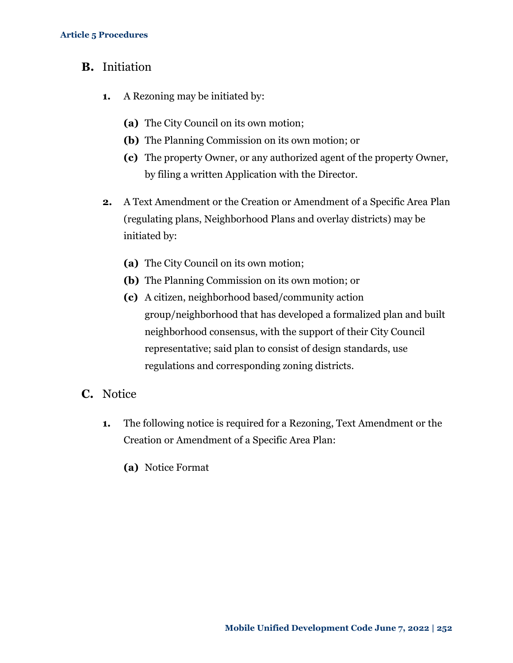- **B.** Initiation
	- **1.** A Rezoning may be initiated by:
		- **(a)** The City Council on its own motion;
		- **(b)** The Planning Commission on its own motion; or
		- **(c)** The property Owner, or any authorized agent of the property Owner, by filing a written Application with the Director.
	- **2.** A Text Amendment or the Creation or Amendment of a Specific Area Plan (regulating plans, Neighborhood Plans and overlay districts) may be initiated by:
		- **(a)** The City Council on its own motion;
		- **(b)** The Planning Commission on its own motion; or
		- **(c)** A citizen, neighborhood based/community action group/neighborhood that has developed a formalized plan and built neighborhood consensus, with the support of their City Council representative; said plan to consist of design standards, use regulations and corresponding zoning districts.
- **C.** Notice
	- **1.** The following notice is required for a Rezoning, Text Amendment or the Creation or Amendment of a Specific Area Plan:
		- **(a)** Notice Format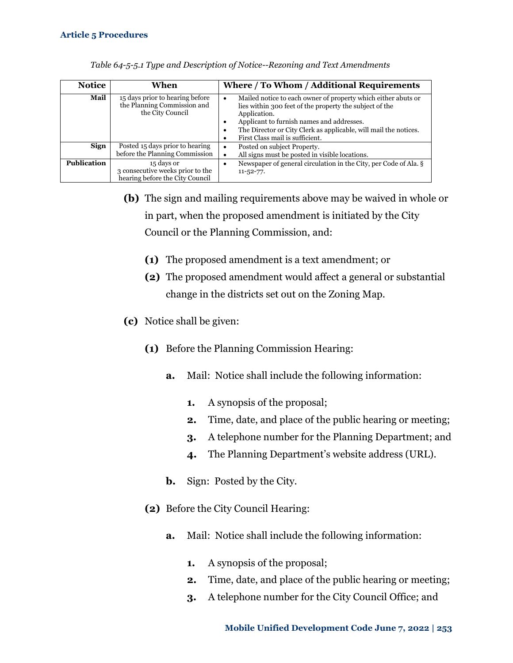| <b>Notice</b>      | When                                                                               | Where / To Whom / Additional Requirements                                                                                                                                                                                                                                                                 |
|--------------------|------------------------------------------------------------------------------------|-----------------------------------------------------------------------------------------------------------------------------------------------------------------------------------------------------------------------------------------------------------------------------------------------------------|
| Mail               | 15 days prior to hearing before<br>the Planning Commission and<br>the City Council | Mailed notice to each owner of property which either abuts or<br>$\bullet$<br>lies within 300 feet of the property the subject of the<br>Application.<br>Applicant to furnish names and addresses.<br>The Director or City Clerk as applicable, will mail the notices.<br>First Class mail is sufficient. |
| <b>Sign</b>        | Posted 15 days prior to hearing<br>before the Planning Commission                  | Posted on subject Property.<br>٠<br>All signs must be posted in visible locations.                                                                                                                                                                                                                        |
| <b>Publication</b> | 15 days or<br>3 consecutive weeks prior to the<br>hearing before the City Council  | Newspaper of general circulation in the City, per Code of Ala. §<br>$11 - 52 - 77.$                                                                                                                                                                                                                       |

| Table 64-5-5.1 Type and Description of Notice--Rezoning and Text Amendments |  |  |  |
|-----------------------------------------------------------------------------|--|--|--|
|                                                                             |  |  |  |

- **(b)** The sign and mailing requirements above may be waived in whole or in part, when the proposed amendment is initiated by the City Council or the Planning Commission, and:
	- **(1)** The proposed amendment is a text amendment; or
	- **(2)** The proposed amendment would affect a general or substantial change in the districts set out on the Zoning Map.
- **(c)** Notice shall be given:
	- **(1)** Before the Planning Commission Hearing:
		- **a.** Mail: Notice shall include the following information:
			- **1.** A synopsis of the proposal;
			- **2.** Time, date, and place of the public hearing or meeting;
			- **3.** A telephone number for the Planning Department; and
			- **4.** The Planning Department's website address (URL).
		- **b.** Sign: Posted by the City.
	- **(2)** Before the City Council Hearing:
		- **a.** Mail: Notice shall include the following information:
			- **1.** A synopsis of the proposal;
			- **2.** Time, date, and place of the public hearing or meeting;
			- **3.** A telephone number for the City Council Office; and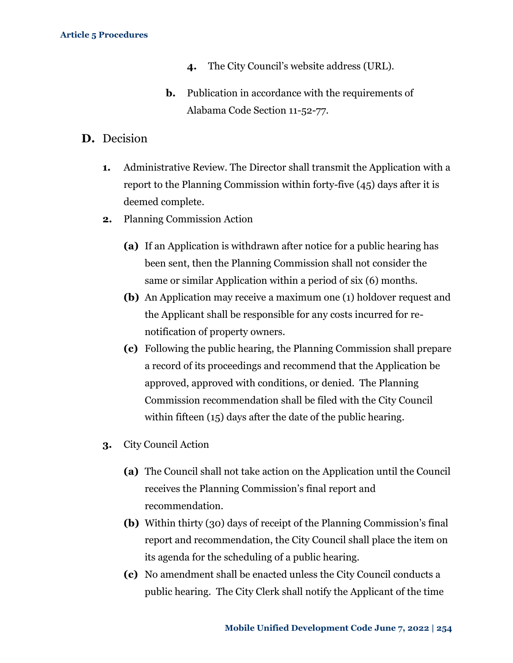- **4.** The City Council's website address (URL).
- **b.** Publication in accordance with the requirements of Alabama Code Section 11-52-77.
- **D.** Decision
	- **1.** Administrative Review. The Director shall transmit the Application with a report to the Planning Commission within forty-five (45) days after it is deemed complete.
	- **2.** Planning Commission Action
		- **(a)** If an Application is withdrawn after notice for a public hearing has been sent, then the Planning Commission shall not consider the same or similar Application within a period of six (6) months.
		- **(b)** An Application may receive a maximum one (1) holdover request and the Applicant shall be responsible for any costs incurred for renotification of property owners.
		- **(c)** Following the public hearing, the Planning Commission shall prepare a record of its proceedings and recommend that the Application be approved, approved with conditions, or denied. The Planning Commission recommendation shall be filed with the City Council within fifteen (15) days after the date of the public hearing.
	- **3.** City Council Action
		- **(a)** The Council shall not take action on the Application until the Council receives the Planning Commission's final report and recommendation.
		- **(b)** Within thirty (30) days of receipt of the Planning Commission's final report and recommendation, the City Council shall place the item on its agenda for the scheduling of a public hearing.
		- **(c)** No amendment shall be enacted unless the City Council conducts a public hearing. The City Clerk shall notify the Applicant of the time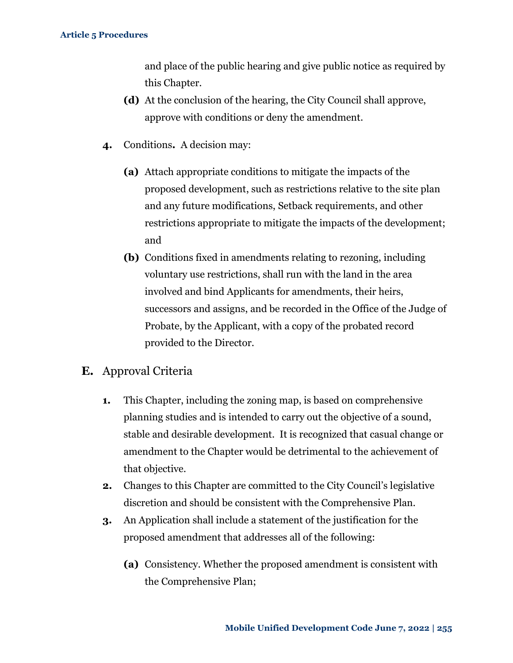and place of the public hearing and give public notice as required by this Chapter.

- **(d)** At the conclusion of the hearing, the City Council shall approve, approve with conditions or deny the amendment.
- **4.** Conditions**.** A decision may:
	- **(a)** Attach appropriate conditions to mitigate the impacts of the proposed development, such as restrictions relative to the site plan and any future modifications, Setback requirements, and other restrictions appropriate to mitigate the impacts of the development; and
	- **(b)** Conditions fixed in amendments relating to rezoning, including voluntary use restrictions, shall run with the land in the area involved and bind Applicants for amendments, their heirs, successors and assigns, and be recorded in the Office of the Judge of Probate, by the Applicant, with a copy of the probated record provided to the Director.
- **E.** Approval Criteria
	- **1.** This Chapter, including the zoning map, is based on comprehensive planning studies and is intended to carry out the objective of a sound, stable and desirable development. It is recognized that casual change or amendment to the Chapter would be detrimental to the achievement of that objective.
	- **2.** Changes to this Chapter are committed to the City Council's legislative discretion and should be consistent with the Comprehensive Plan.
	- **3.** An Application shall include a statement of the justification for the proposed amendment that addresses all of the following:
		- **(a)** Consistency. Whether the proposed amendment is consistent with the Comprehensive Plan;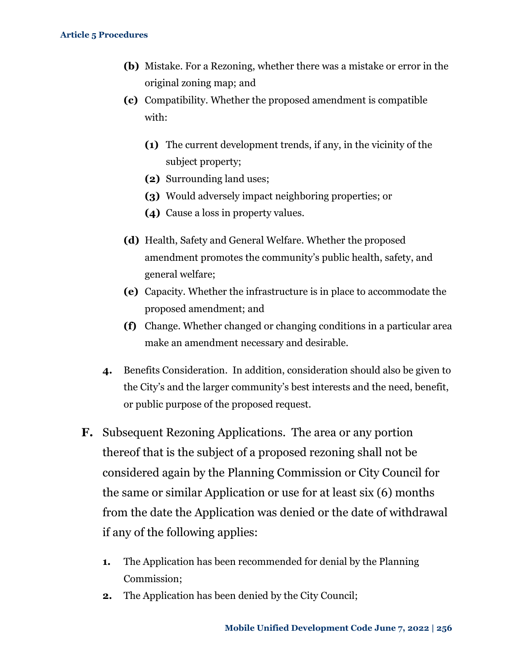- **(b)** Mistake. For a Rezoning, whether there was a mistake or error in the original zoning map; and
- **(c)** Compatibility. Whether the proposed amendment is compatible with:
	- **(1)** The current development trends, if any, in the vicinity of the subject property;
	- **(2)** Surrounding land uses;
	- **(3)** Would adversely impact neighboring properties; or
	- **(4)** Cause a loss in property values.
- **(d)** Health, Safety and General Welfare. Whether the proposed amendment promotes the community's public health, safety, and general welfare;
- **(e)** Capacity. Whether the infrastructure is in place to accommodate the proposed amendment; and
- **(f)** Change. Whether changed or changing conditions in a particular area make an amendment necessary and desirable.
- **4.** Benefits Consideration. In addition, consideration should also be given to the City's and the larger community's best interests and the need, benefit, or public purpose of the proposed request.
- **F.** Subsequent Rezoning Applications. The area or any portion thereof that is the subject of a proposed rezoning shall not be considered again by the Planning Commission or City Council for the same or similar Application or use for at least six (6) months from the date the Application was denied or the date of withdrawal if any of the following applies:
	- **1.** The Application has been recommended for denial by the Planning Commission;
	- **2.** The Application has been denied by the City Council;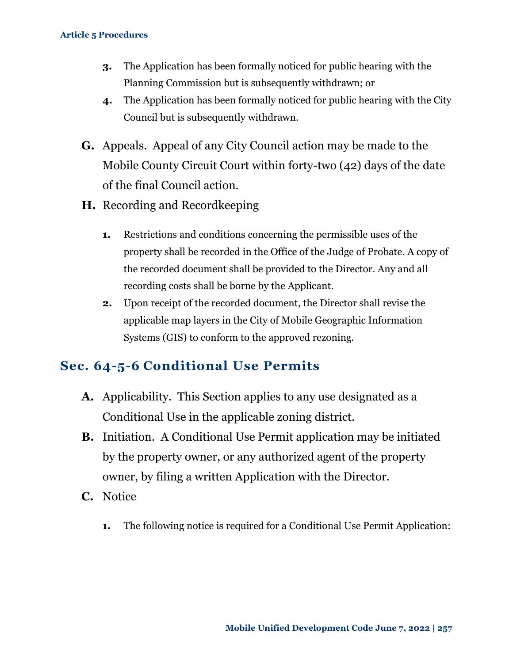- **3.** The Application has been formally noticed for public hearing with the Planning Commission but is subsequently withdrawn; or
- **4.** The Application has been formally noticed for public hearing with the City Council but is subsequently withdrawn.
- **G.** Appeals. Appeal of any City Council action may be made to the Mobile County Circuit Court within forty-two (42) days of the date of the final Council action.
- **H.** Recording and Recordkeeping
	- **1.** Restrictions and conditions concerning the permissible uses of the property shall be recorded in the Office of the Judge of Probate. A copy of the recorded document shall be provided to the Director. Any and all recording costs shall be borne by the Applicant.
	- **2.** Upon receipt of the recorded document, the Director shall revise the applicable map layers in the City of Mobile Geographic Information Systems (GIS) to conform to the approved rezoning.

### <span id="page-13-0"></span>**Sec. 64-5-6 Conditional Use Permits**

- **A.** Applicability. This Section applies to any use designated as a Conditional Use in the applicable zoning district.
- **B.** Initiation.A Conditional Use Permit application may be initiated by the property owner, or any authorized agent of the property owner, by filing a written Application with the Director.
- **C.** Notice
	- **1.** The following notice is required for a Conditional Use Permit Application: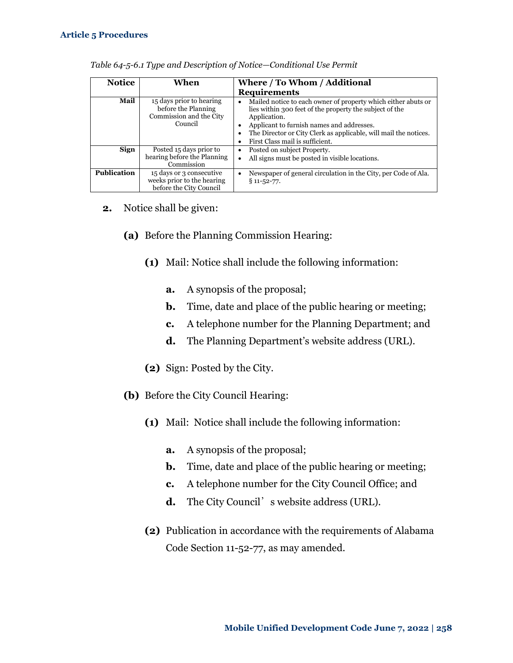| <b>Notice</b>      | When                                                                                  | Where / To Whom / Additional                                                                                                                                                                                                                                                                                |
|--------------------|---------------------------------------------------------------------------------------|-------------------------------------------------------------------------------------------------------------------------------------------------------------------------------------------------------------------------------------------------------------------------------------------------------------|
|                    |                                                                                       | <b>Requirements</b>                                                                                                                                                                                                                                                                                         |
| Mail               | 15 days prior to hearing<br>before the Planning<br>Commission and the City<br>Council | Mailed notice to each owner of property which either abuts or<br>٠<br>lies within 300 feet of the property the subject of the<br>Application.<br>Applicant to furnish names and addresses.<br>٠<br>The Director or City Clerk as applicable, will mail the notices.<br>٠<br>First Class mail is sufficient. |
| Sign               | Posted 15 days prior to                                                               | Posted on subject Property.<br>٠                                                                                                                                                                                                                                                                            |
|                    | hearing before the Planning<br>Commission                                             | All signs must be posted in visible locations.<br>٠                                                                                                                                                                                                                                                         |
| <b>Publication</b> | 15 days or 3 consecutive<br>weeks prior to the hearing<br>before the City Council     | Newspaper of general circulation in the City, per Code of Ala.<br>٠<br>$§ 11 - 52 - 77.$                                                                                                                                                                                                                    |

| Table 64-5-6.1 Type and Description of Notice-Conditional Use Permit |  |  |  |
|----------------------------------------------------------------------|--|--|--|
|                                                                      |  |  |  |

- **2.** Notice shall be given:
	- **(a)** Before the Planning Commission Hearing:
		- **(1)** Mail: Notice shall include the following information:
			- **a.** A synopsis of the proposal;
			- **b.** Time, date and place of the public hearing or meeting;
			- **c.** A telephone number for the Planning Department; and
			- **d.** The Planning Department's website address (URL).
		- **(2)** Sign: Posted by the City.
	- **(b)** Before the City Council Hearing:
		- **(1)** Mail: Notice shall include the following information:
			- **a.** A synopsis of the proposal;
			- **b.** Time, date and place of the public hearing or meeting;
			- **c.** A telephone number for the City Council Office; and
			- **d.** The City Council's website address (URL).
		- **(2)** Publication in accordance with the requirements of Alabama Code Section 11-52-77, as may amended.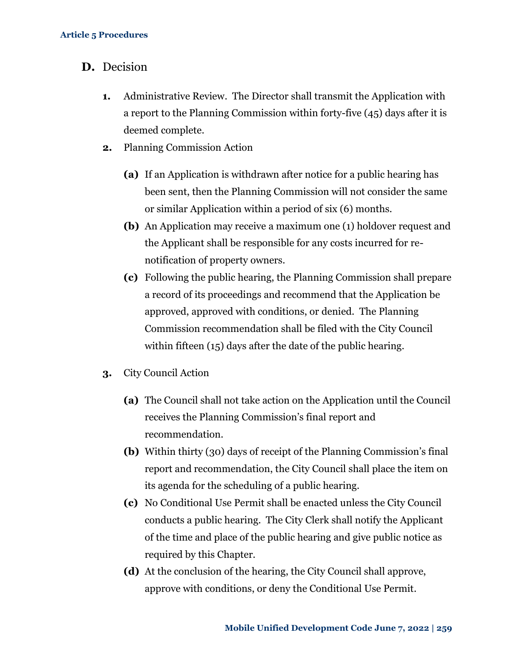- **D.** Decision
	- **1.** Administrative Review. The Director shall transmit the Application with a report to the Planning Commission within forty-five (45) days after it is deemed complete.
	- **2.** Planning Commission Action
		- **(a)** If an Application is withdrawn after notice for a public hearing has been sent, then the Planning Commission will not consider the same or similar Application within a period of six (6) months.
		- **(b)** An Application may receive a maximum one (1) holdover request and the Applicant shall be responsible for any costs incurred for renotification of property owners.
		- **(c)** Following the public hearing, the Planning Commission shall prepare a record of its proceedings and recommend that the Application be approved, approved with conditions, or denied. The Planning Commission recommendation shall be filed with the City Council within fifteen (15) days after the date of the public hearing.
	- **3.** City Council Action
		- **(a)** The Council shall not take action on the Application until the Council receives the Planning Commission's final report and recommendation.
		- **(b)** Within thirty (30) days of receipt of the Planning Commission's final report and recommendation, the City Council shall place the item on its agenda for the scheduling of a public hearing.
		- **(c)** No Conditional Use Permit shall be enacted unless the City Council conducts a public hearing. The City Clerk shall notify the Applicant of the time and place of the public hearing and give public notice as required by this Chapter.
		- **(d)** At the conclusion of the hearing, the City Council shall approve, approve with conditions, or deny the Conditional Use Permit.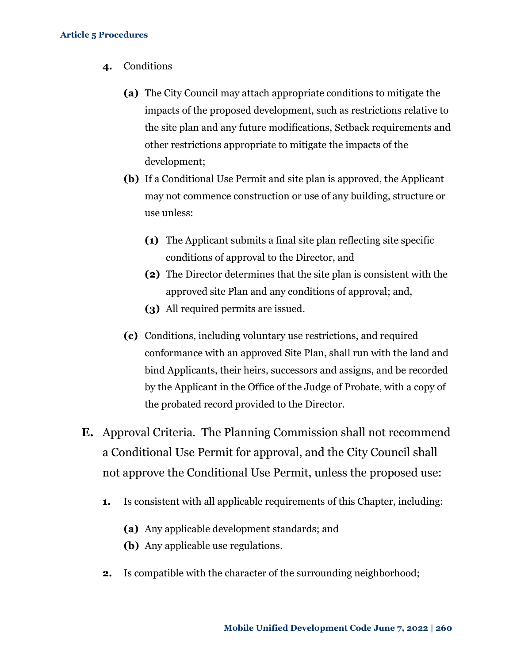- **4.** Conditions
	- **(a)** The City Council may attach appropriate conditions to mitigate the impacts of the proposed development, such as restrictions relative to the site plan and any future modifications, Setback requirements and other restrictions appropriate to mitigate the impacts of the development;
	- **(b)** If a Conditional Use Permit and site plan is approved, the Applicant may not commence construction or use of any building, structure or use unless:
		- **(1)** The Applicant submits a final site plan reflecting site specific conditions of approval to the Director, and
		- **(2)** The Director determines that the site plan is consistent with the approved site Plan and any conditions of approval; and,
		- **(3)** All required permits are issued.
	- **(c)** Conditions, including voluntary use restrictions, and required conformance with an approved Site Plan, shall run with the land and bind Applicants, their heirs, successors and assigns, and be recorded by the Applicant in the Office of the Judge of Probate, with a copy of the probated record provided to the Director.
- **E.** Approval Criteria. The Planning Commission shall not recommend a Conditional Use Permit for approval, and the City Council shall not approve the Conditional Use Permit, unless the proposed use:
	- **1.** Is consistent with all applicable requirements of this Chapter, including:
		- **(a)** Any applicable development standards; and
		- **(b)** Any applicable use regulations.
	- **2.** Is compatible with the character of the surrounding neighborhood;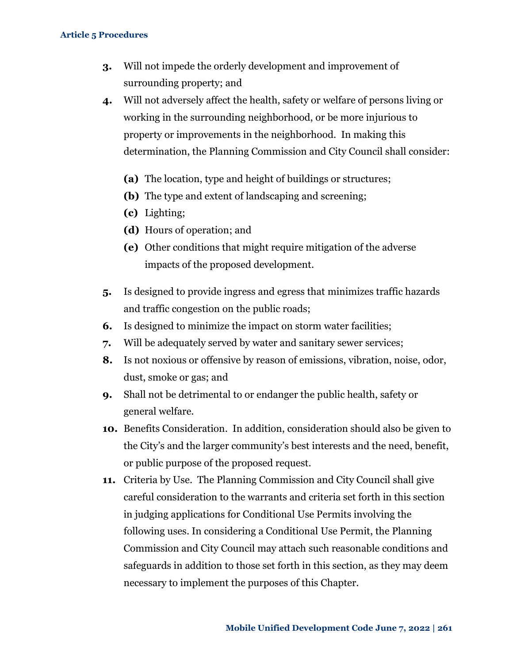- **3.** Will not impede the orderly development and improvement of surrounding property; and
- **4.** Will not adversely affect the health, safety or welfare of persons living or working in the surrounding neighborhood, or be more injurious to property or improvements in the neighborhood. In making this determination, the Planning Commission and City Council shall consider:
	- **(a)** The location, type and height of buildings or structures;
	- **(b)** The type and extent of landscaping and screening;
	- **(c)** Lighting;
	- **(d)** Hours of operation; and
	- **(e)** Other conditions that might require mitigation of the adverse impacts of the proposed development.
- **5.** Is designed to provide ingress and egress that minimizes traffic hazards and traffic congestion on the public roads;
- **6.** Is designed to minimize the impact on storm water facilities;
- **7.** Will be adequately served by water and sanitary sewer services;
- **8.** Is not noxious or offensive by reason of emissions, vibration, noise, odor, dust, smoke or gas; and
- **9.** Shall not be detrimental to or endanger the public health, safety or general welfare.
- **10.** Benefits Consideration. In addition, consideration should also be given to the City's and the larger community's best interests and the need, benefit, or public purpose of the proposed request.
- **11.** Criteria by Use. The Planning Commission and City Council shall give careful consideration to the warrants and criteria set forth in this section in judging applications for Conditional Use Permits involving the following uses. In considering a Conditional Use Permit, the Planning Commission and City Council may attach such reasonable conditions and safeguards in addition to those set forth in this section, as they may deem necessary to implement the purposes of this Chapter.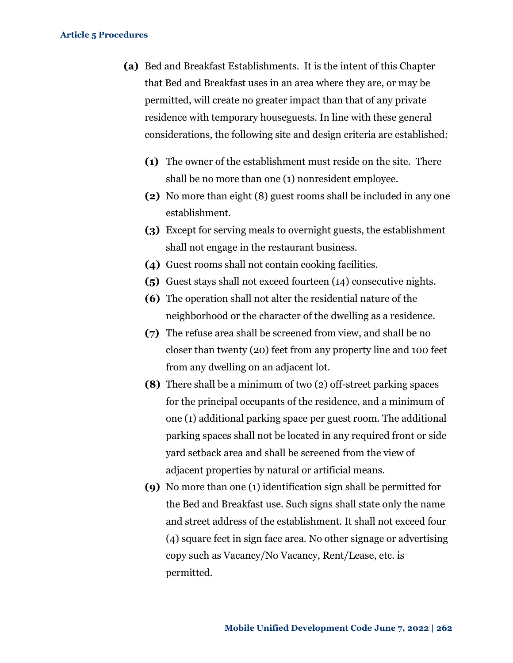- **(a)** Bed and Breakfast Establishments. It is the intent of this Chapter that Bed and Breakfast uses in an area where they are, or may be permitted, will create no greater impact than that of any private residence with temporary houseguests. In line with these general considerations, the following site and design criteria are established:
	- **(1)** The owner of the establishment must reside on the site. There shall be no more than one (1) nonresident employee.
	- **(2)** No more than eight (8) guest rooms shall be included in any one establishment.
	- **(3)** Except for serving meals to overnight guests, the establishment shall not engage in the restaurant business.
	- **(4)** Guest rooms shall not contain cooking facilities.
	- **(5)** Guest stays shall not exceed fourteen (14) consecutive nights.
	- **(6)** The operation shall not alter the residential nature of the neighborhood or the character of the dwelling as a residence.
	- **(7)** The refuse area shall be screened from view, and shall be no closer than twenty (20) feet from any property line and 100 feet from any dwelling on an adjacent lot.
	- **(8)** There shall be a minimum of two (2) off-street parking spaces for the principal occupants of the residence, and a minimum of one (1) additional parking space per guest room. The additional parking spaces shall not be located in any required front or side yard setback area and shall be screened from the view of adjacent properties by natural or artificial means.
	- **(9)** No more than one (1) identification sign shall be permitted for the Bed and Breakfast use. Such signs shall state only the name and street address of the establishment. It shall not exceed four (4) square feet in sign face area. No other signage or advertising copy such as Vacancy/No Vacancy, Rent/Lease, etc. is permitted.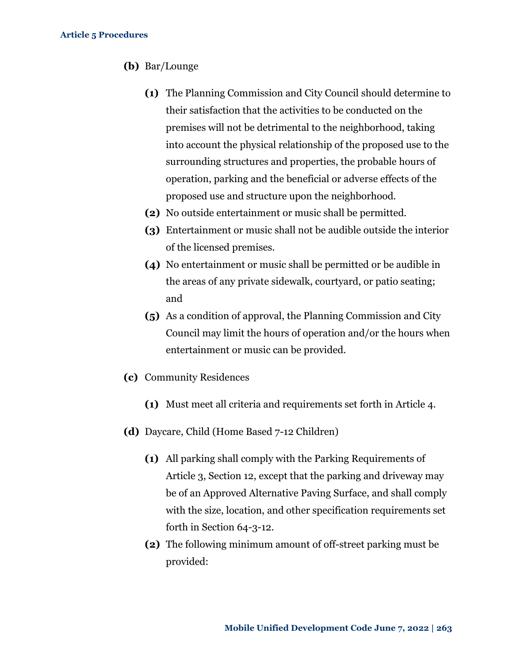- **(b)** Bar/Lounge
	- **(1)** The Planning Commission and City Council should determine to their satisfaction that the activities to be conducted on the premises will not be detrimental to the neighborhood, taking into account the physical relationship of the proposed use to the surrounding structures and properties, the probable hours of operation, parking and the beneficial or adverse effects of the proposed use and structure upon the neighborhood.
	- **(2)** No outside entertainment or music shall be permitted.
	- **(3)** Entertainment or music shall not be audible outside the interior of the licensed premises.
	- **(4)** No entertainment or music shall be permitted or be audible in the areas of any private sidewalk, courtyard, or patio seating; and
	- **(5)** As a condition of approval, the Planning Commission and City Council may limit the hours of operation and/or the hours when entertainment or music can be provided.
- **(c)** Community Residences
	- **(1)** Must meet all criteria and requirements set forth in Article 4.
- **(d)** Daycare, Child (Home Based 7-12 Children)
	- **(1)** All parking shall comply with the Parking Requirements of Article 3, Section 12, except that the parking and driveway may be of an Approved Alternative Paving Surface, and shall comply with the size, location, and other specification requirements set forth in Section 64-3-12.
	- **(2)** The following minimum amount of off-street parking must be provided: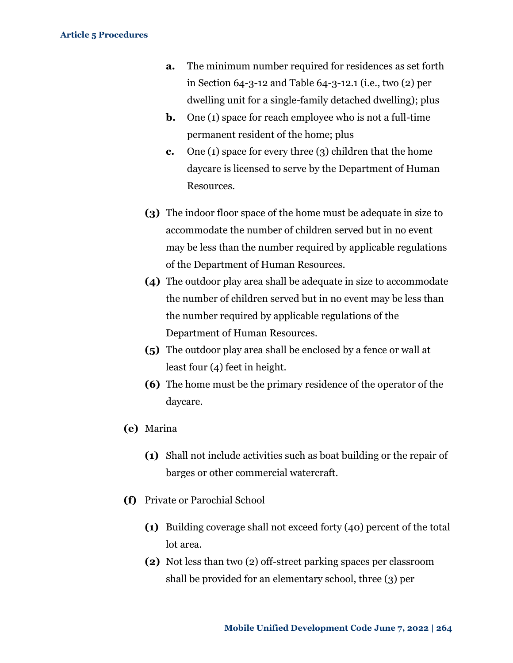- **a.** The minimum number required for residences as set forth in Section 64-3-12 and Table 64-3-12.1 (i.e., two (2) per dwelling unit for a single-family detached dwelling); plus
- **b.** One (1) space for reach employee who is not a full-time permanent resident of the home; plus
- **c.** One (1) space for every three (3) children that the home daycare is licensed to serve by the Department of Human Resources.
- **(3)** The indoor floor space of the home must be adequate in size to accommodate the number of children served but in no event may be less than the number required by applicable regulations of the Department of Human Resources.
- **(4)** The outdoor play area shall be adequate in size to accommodate the number of children served but in no event may be less than the number required by applicable regulations of the Department of Human Resources.
- **(5)** The outdoor play area shall be enclosed by a fence or wall at least four (4) feet in height.
- **(6)** The home must be the primary residence of the operator of the daycare.
- **(e)** Marina
	- **(1)** Shall not include activities such as boat building or the repair of barges or other commercial watercraft.
- **(f)** Private or Parochial School
	- **(1)** Building coverage shall not exceed forty (40) percent of the total lot area.
	- **(2)** Not less than two (2) off-street parking spaces per classroom shall be provided for an elementary school, three (3) per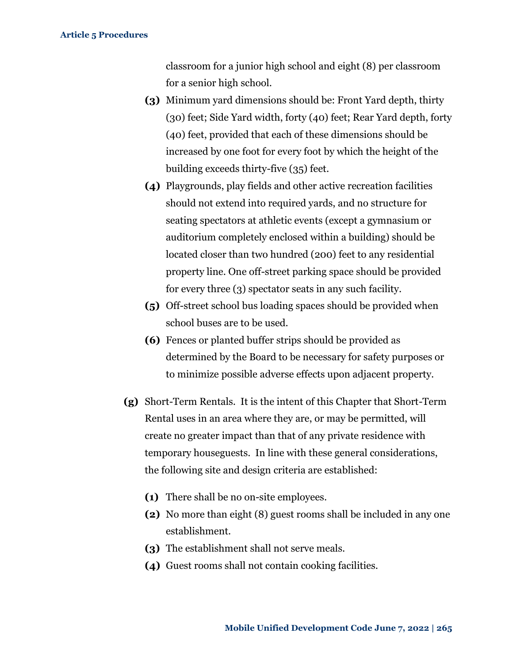classroom for a junior high school and eight (8) per classroom for a senior high school.

- **(3)** Minimum yard dimensions should be: Front Yard depth, thirty (30) feet; Side Yard width, forty (40) feet; Rear Yard depth, forty (40) feet, provided that each of these dimensions should be increased by one foot for every foot by which the height of the building exceeds thirty-five (35) feet.
- **(4)** Playgrounds, play fields and other active recreation facilities should not extend into required yards, and no structure for seating spectators at athletic events (except a gymnasium or auditorium completely enclosed within a building) should be located closer than two hundred (200) feet to any residential property line. One off-street parking space should be provided for every three (3) spectator seats in any such facility.
- **(5)** Off-street school bus loading spaces should be provided when school buses are to be used.
- **(6)** Fences or planted buffer strips should be provided as determined by the Board to be necessary for safety purposes or to minimize possible adverse effects upon adjacent property.
- **(g)** Short-Term Rentals. It is the intent of this Chapter that Short-Term Rental uses in an area where they are, or may be permitted, will create no greater impact than that of any private residence with temporary houseguests. In line with these general considerations, the following site and design criteria are established:
	- **(1)** There shall be no on-site employees.
	- **(2)** No more than eight (8) guest rooms shall be included in any one establishment.
	- **(3)** The establishment shall not serve meals.
	- **(4)** Guest rooms shall not contain cooking facilities.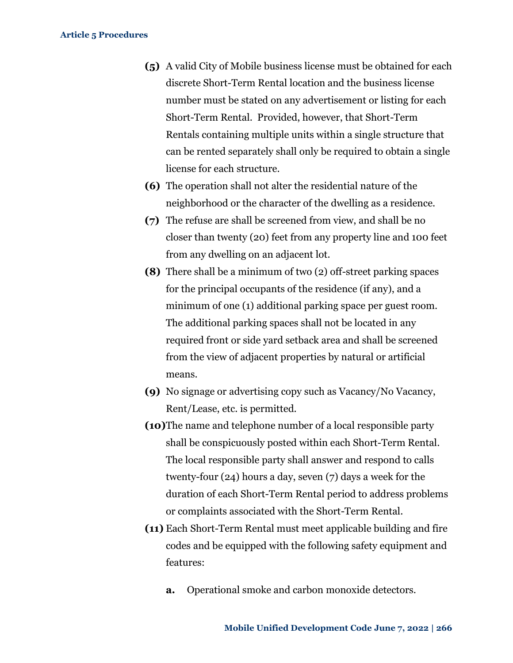- **(5)** A valid City of Mobile business license must be obtained for each discrete Short-Term Rental location and the business license number must be stated on any advertisement or listing for each Short-Term Rental. Provided, however, that Short-Term Rentals containing multiple units within a single structure that can be rented separately shall only be required to obtain a single license for each structure.
- **(6)** The operation shall not alter the residential nature of the neighborhood or the character of the dwelling as a residence.
- **(7)** The refuse are shall be screened from view, and shall be no closer than twenty (20) feet from any property line and 100 feet from any dwelling on an adjacent lot.
- **(8)** There shall be a minimum of two (2) off-street parking spaces for the principal occupants of the residence (if any), and a minimum of one (1) additional parking space per guest room. The additional parking spaces shall not be located in any required front or side yard setback area and shall be screened from the view of adjacent properties by natural or artificial means.
- **(9)** No signage or advertising copy such as Vacancy/No Vacancy, Rent/Lease, etc. is permitted.
- **(10)**The name and telephone number of a local responsible party shall be conspicuously posted within each Short-Term Rental. The local responsible party shall answer and respond to calls twenty-four (24) hours a day, seven (7) days a week for the duration of each Short-Term Rental period to address problems or complaints associated with the Short-Term Rental.
- **(11)** Each Short-Term Rental must meet applicable building and fire codes and be equipped with the following safety equipment and features:
	- **a.** Operational smoke and carbon monoxide detectors.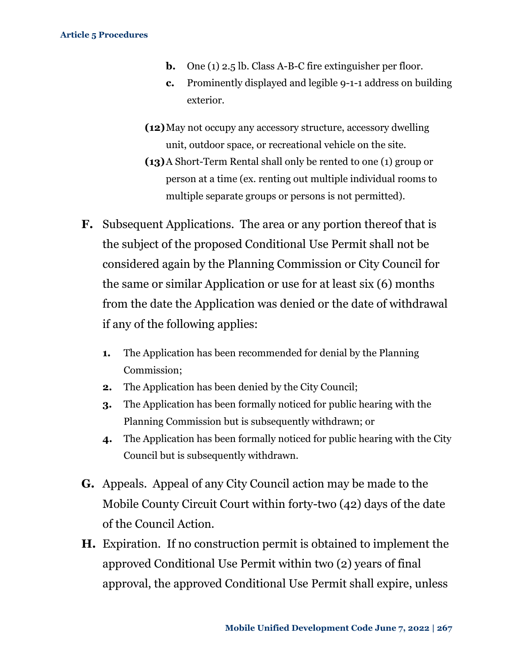- **b.** One (1) 2.5 lb. Class A-B-C fire extinguisher per floor.
- **c.** Prominently displayed and legible 9-1-1 address on building exterior.
- **(12)**May not occupy any accessory structure, accessory dwelling unit, outdoor space, or recreational vehicle on the site.
- **(13)**A Short-Term Rental shall only be rented to one (1) group or person at a time (ex. renting out multiple individual rooms to multiple separate groups or persons is not permitted).
- **F.** Subsequent Applications. The area or any portion thereof that is the subject of the proposed Conditional Use Permit shall not be considered again by the Planning Commission or City Council for the same or similar Application or use for at least six (6) months from the date the Application was denied or the date of withdrawal if any of the following applies:
	- **1.** The Application has been recommended for denial by the Planning Commission;
	- **2.** The Application has been denied by the City Council;
	- **3.** The Application has been formally noticed for public hearing with the Planning Commission but is subsequently withdrawn; or
	- **4.** The Application has been formally noticed for public hearing with the City Council but is subsequently withdrawn.
- **G.** Appeals. Appeal of any City Council action may be made to the Mobile County Circuit Court within forty-two (42) days of the date of the Council Action.
- **H.** Expiration.If no construction permit is obtained to implement the approved Conditional Use Permit within two (2) years of final approval, the approved Conditional Use Permit shall expire, unless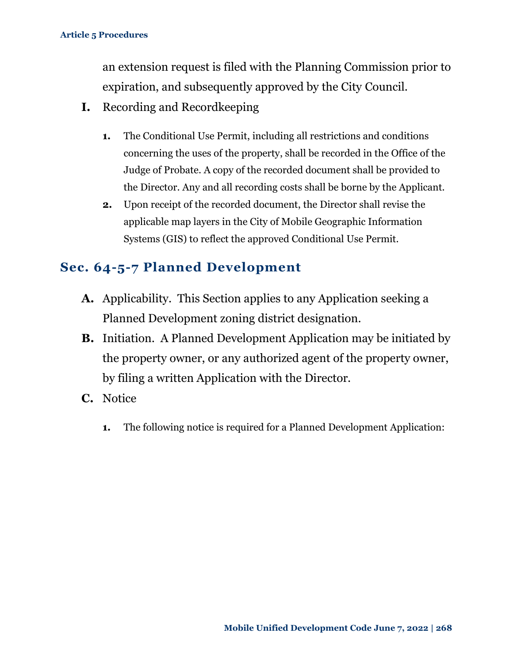an extension request is filed with the Planning Commission prior to expiration, and subsequently approved by the City Council.

- **I.** Recording and Recordkeeping
	- **1.** The Conditional Use Permit, including all restrictions and conditions concerning the uses of the property, shall be recorded in the Office of the Judge of Probate. A copy of the recorded document shall be provided to the Director. Any and all recording costs shall be borne by the Applicant.
	- **2.** Upon receipt of the recorded document, the Director shall revise the applicable map layers in the City of Mobile Geographic Information Systems (GIS) to reflect the approved Conditional Use Permit.

### <span id="page-24-0"></span>**Sec. 64-5-7 Planned Development**

- **A.** Applicability. This Section applies to any Application seeking a Planned Development zoning district designation.
- **B.** Initiation. A Planned Development Application may be initiated by the property owner, or any authorized agent of the property owner, by filing a written Application with the Director.
- **C.** Notice
	- **1.** The following notice is required for a Planned Development Application: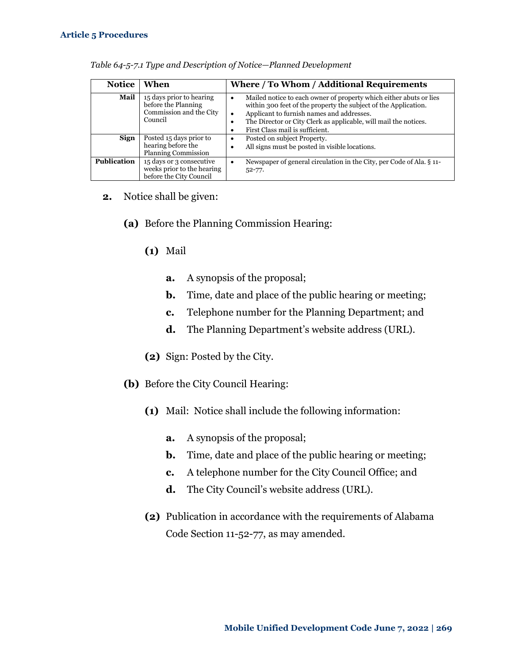| <b>Notice</b>      | When                                                                                  | Where / To Whom / Additional Requirements                                                                                                                                                                                                                                                 |
|--------------------|---------------------------------------------------------------------------------------|-------------------------------------------------------------------------------------------------------------------------------------------------------------------------------------------------------------------------------------------------------------------------------------------|
| Mail               | 15 days prior to hearing<br>before the Planning<br>Commission and the City<br>Council | Mailed notice to each owner of property which either abuts or lies<br>within 300 feet of the property the subject of the Application.<br>Applicant to furnish names and addresses.<br>The Director or City Clerk as applicable, will mail the notices.<br>First Class mail is sufficient. |
| Sign               | Posted 15 days prior to<br>hearing before the<br><b>Planning Commission</b>           | Posted on subject Property.<br>All signs must be posted in visible locations.                                                                                                                                                                                                             |
| <b>Publication</b> | 15 days or 3 consecutive<br>weeks prior to the hearing<br>before the City Council     | Newspaper of general circulation in the City, per Code of Ala, § 11-<br>$52 - 77.$                                                                                                                                                                                                        |

| Table 64-5-7.1 Type and Description of Notice-Planned Development |
|-------------------------------------------------------------------|
|-------------------------------------------------------------------|

- **2.** Notice shall be given:
	- **(a)** Before the Planning Commission Hearing:
		- **(1)** Mail
			- **a.** A synopsis of the proposal;
			- **b.** Time, date and place of the public hearing or meeting;
			- **c.** Telephone number for the Planning Department; and
			- **d.** The Planning Department's website address (URL).
		- **(2)** Sign: Posted by the City.
	- **(b)** Before the City Council Hearing:
		- **(1)** Mail: Notice shall include the following information:
			- **a.** A synopsis of the proposal;
			- **b.** Time, date and place of the public hearing or meeting;
			- **c.** A telephone number for the City Council Office; and
			- **d.** The City Council's website address (URL).
		- **(2)** Publication in accordance with the requirements of Alabama Code Section 11-52-77, as may amended.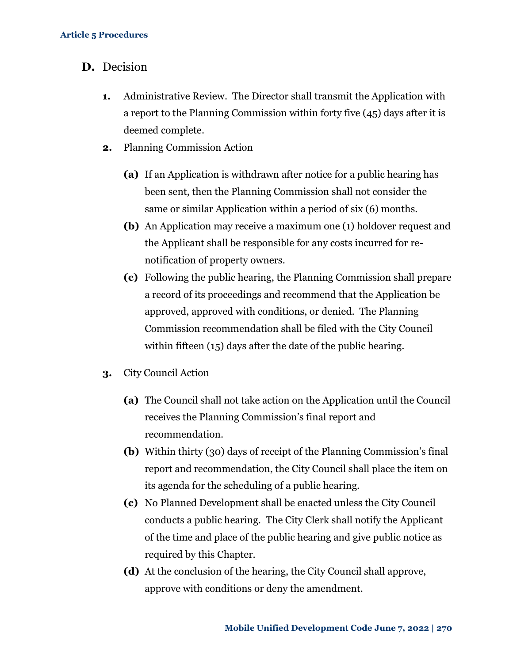- **D.** Decision
	- **1.** Administrative Review. The Director shall transmit the Application with a report to the Planning Commission within forty five (45) days after it is deemed complete.
	- **2.** Planning Commission Action
		- **(a)** If an Application is withdrawn after notice for a public hearing has been sent, then the Planning Commission shall not consider the same or similar Application within a period of six (6) months.
		- **(b)** An Application may receive a maximum one (1) holdover request and the Applicant shall be responsible for any costs incurred for renotification of property owners.
		- **(c)** Following the public hearing, the Planning Commission shall prepare a record of its proceedings and recommend that the Application be approved, approved with conditions, or denied. The Planning Commission recommendation shall be filed with the City Council within fifteen (15) days after the date of the public hearing.
	- **3.** City Council Action
		- **(a)** The Council shall not take action on the Application until the Council receives the Planning Commission's final report and recommendation.
		- **(b)** Within thirty (30) days of receipt of the Planning Commission's final report and recommendation, the City Council shall place the item on its agenda for the scheduling of a public hearing.
		- **(c)** No Planned Development shall be enacted unless the City Council conducts a public hearing. The City Clerk shall notify the Applicant of the time and place of the public hearing and give public notice as required by this Chapter.
		- **(d)** At the conclusion of the hearing, the City Council shall approve, approve with conditions or deny the amendment.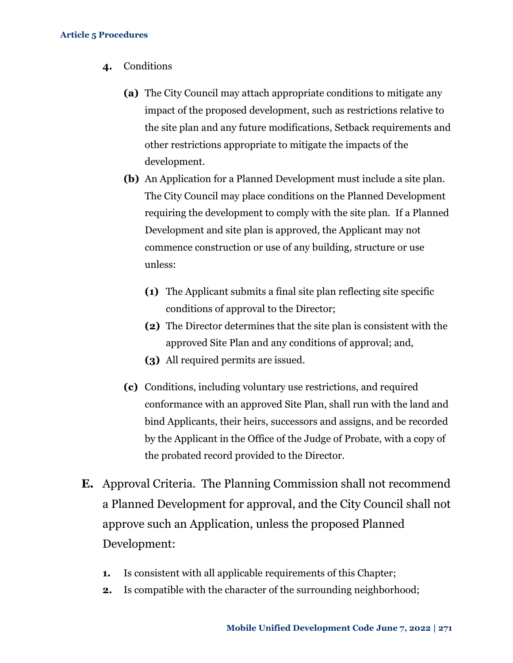- **4.** Conditions
	- **(a)** The City Council may attach appropriate conditions to mitigate any impact of the proposed development, such as restrictions relative to the site plan and any future modifications, Setback requirements and other restrictions appropriate to mitigate the impacts of the development.
	- **(b)** An Application for a Planned Development must include a site plan. The City Council may place conditions on the Planned Development requiring the development to comply with the site plan. If a Planned Development and site plan is approved, the Applicant may not commence construction or use of any building, structure or use unless:
		- **(1)** The Applicant submits a final site plan reflecting site specific conditions of approval to the Director;
		- **(2)** The Director determines that the site plan is consistent with the approved Site Plan and any conditions of approval; and,
		- **(3)** All required permits are issued.
	- **(c)** Conditions, including voluntary use restrictions, and required conformance with an approved Site Plan, shall run with the land and bind Applicants, their heirs, successors and assigns, and be recorded by the Applicant in the Office of the Judge of Probate, with a copy of the probated record provided to the Director.
- **E.** Approval Criteria. The Planning Commission shall not recommend a Planned Development for approval, and the City Council shall not approve such an Application, unless the proposed Planned Development:
	- **1.** Is consistent with all applicable requirements of this Chapter;
	- **2.** Is compatible with the character of the surrounding neighborhood;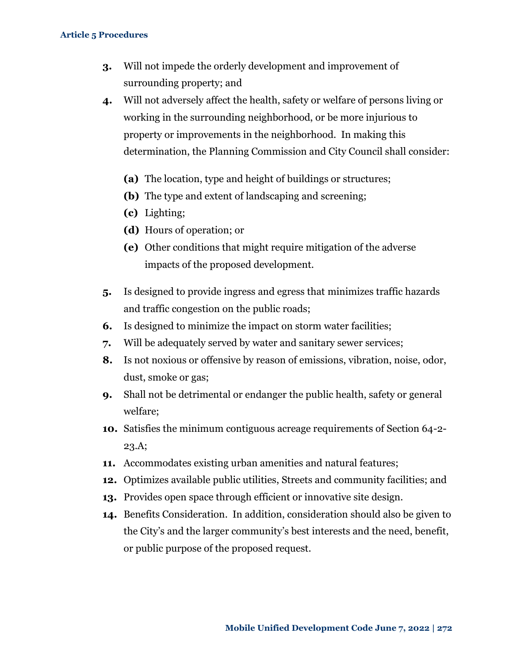- **3.** Will not impede the orderly development and improvement of surrounding property; and
- **4.** Will not adversely affect the health, safety or welfare of persons living or working in the surrounding neighborhood, or be more injurious to property or improvements in the neighborhood. In making this determination, the Planning Commission and City Council shall consider:
	- **(a)** The location, type and height of buildings or structures;
	- **(b)** The type and extent of landscaping and screening;
	- **(c)** Lighting;
	- **(d)** Hours of operation; or
	- **(e)** Other conditions that might require mitigation of the adverse impacts of the proposed development.
- **5.** Is designed to provide ingress and egress that minimizes traffic hazards and traffic congestion on the public roads;
- **6.** Is designed to minimize the impact on storm water facilities;
- **7.** Will be adequately served by water and sanitary sewer services;
- **8.** Is not noxious or offensive by reason of emissions, vibration, noise, odor, dust, smoke or gas;
- **9.** Shall not be detrimental or endanger the public health, safety or general welfare;
- **10.** Satisfies the minimum contiguous acreage requirements of Section 64-2- 23.A;
- **11.** Accommodates existing urban amenities and natural features;
- **12.** Optimizes available public utilities, Streets and community facilities; and
- **13.** Provides open space through efficient or innovative site design.
- **14.** Benefits Consideration. In addition, consideration should also be given to the City's and the larger community's best interests and the need, benefit, or public purpose of the proposed request.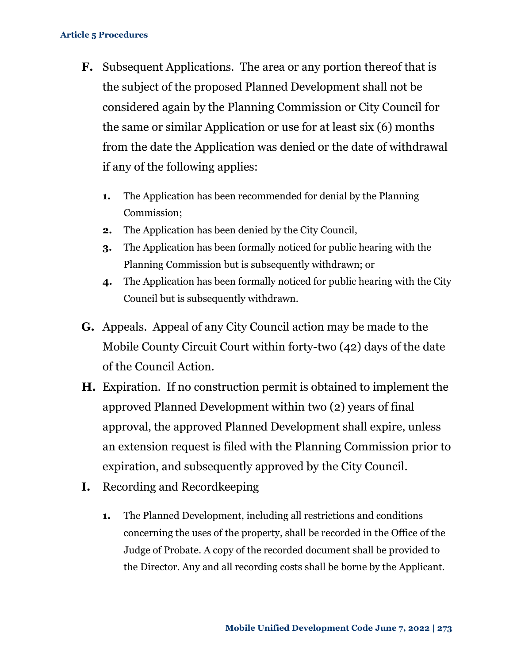- **F.** Subsequent Applications. The area or any portion thereof that is the subject of the proposed Planned Development shall not be considered again by the Planning Commission or City Council for the same or similar Application or use for at least six (6) months from the date the Application was denied or the date of withdrawal if any of the following applies:
	- **1.** The Application has been recommended for denial by the Planning Commission;
	- **2.** The Application has been denied by the City Council,
	- **3.** The Application has been formally noticed for public hearing with the Planning Commission but is subsequently withdrawn; or
	- **4.** The Application has been formally noticed for public hearing with the City Council but is subsequently withdrawn.
- **G.** Appeals. Appeal of any City Council action may be made to the Mobile County Circuit Court within forty-two (42) days of the date of the Council Action.
- **H.** Expiration. If no construction permit is obtained to implement the approved Planned Development within two (2) years of final approval, the approved Planned Development shall expire, unless an extension request is filed with the Planning Commission prior to expiration, and subsequently approved by the City Council.
- **I.** Recording and Recordkeeping
	- **1.** The Planned Development, including all restrictions and conditions concerning the uses of the property, shall be recorded in the Office of the Judge of Probate. A copy of the recorded document shall be provided to the Director. Any and all recording costs shall be borne by the Applicant.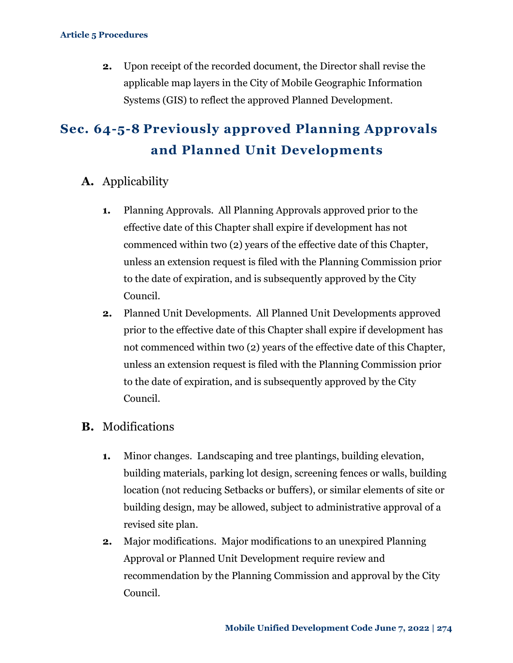**2.** Upon receipt of the recorded document, the Director shall revise the applicable map layers in the City of Mobile Geographic Information Systems (GIS) to reflect the approved Planned Development.

# <span id="page-30-0"></span>**Sec. 64-5-8 Previously approved Planning Approvals and Planned Unit Developments**

- **A.** Applicability
	- **1.** Planning Approvals. All Planning Approvals approved prior to the effective date of this Chapter shall expire if development has not commenced within two (2) years of the effective date of this Chapter, unless an extension request is filed with the Planning Commission prior to the date of expiration, and is subsequently approved by the City Council.
	- **2.** Planned Unit Developments. All Planned Unit Developments approved prior to the effective date of this Chapter shall expire if development has not commenced within two (2) years of the effective date of this Chapter, unless an extension request is filed with the Planning Commission prior to the date of expiration, and is subsequently approved by the City Council.

### **B.** Modifications

- **1.** Minor changes. Landscaping and tree plantings, building elevation, building materials, parking lot design, screening fences or walls, building location (not reducing Setbacks or buffers), or similar elements of site or building design, may be allowed, subject to administrative approval of a revised site plan.
- **2.** Major modifications. Major modifications to an unexpired Planning Approval or Planned Unit Development require review and recommendation by the Planning Commission and approval by the City Council.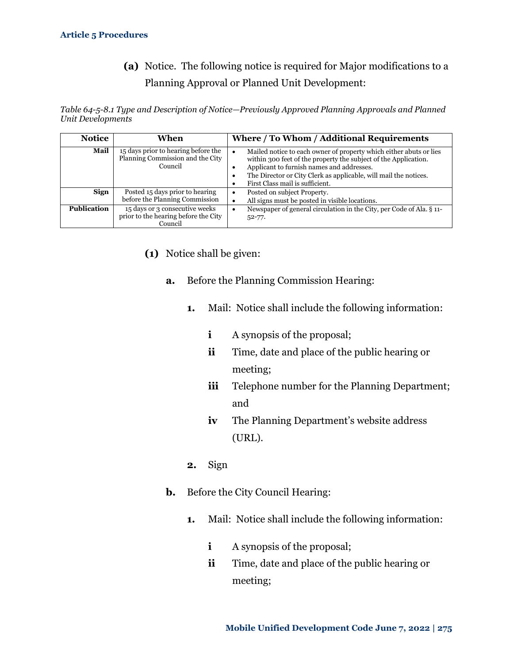**(a)** Notice. The following notice is required for Major modifications to a Planning Approval or Planned Unit Development:

*Table 64-5-8.1 Type and Description of Notice—Previously Approved Planning Approvals and Planned Unit Developments*

| <b>Notice</b> | When                                                                               | Where / To Whom / Additional Requirements                                                                                                                                                                                                                                                 |
|---------------|------------------------------------------------------------------------------------|-------------------------------------------------------------------------------------------------------------------------------------------------------------------------------------------------------------------------------------------------------------------------------------------|
| Mail          | 15 days prior to hearing before the<br>Planning Commission and the City<br>Council | Mailed notice to each owner of property which either abuts or lies<br>within 300 feet of the property the subject of the Application.<br>Applicant to furnish names and addresses.<br>The Director or City Clerk as applicable, will mail the notices.<br>First Class mail is sufficient. |
| Sign          | Posted 15 days prior to hearing<br>before the Planning Commission                  | Posted on subject Property.<br>All signs must be posted in visible locations.                                                                                                                                                                                                             |
| Publication   | 15 days or 3 consecutive weeks<br>prior to the hearing before the City<br>Council  | Newspaper of general circulation in the City, per Code of Ala. § 11-<br>$52 - 77.$                                                                                                                                                                                                        |

- **(1)** Notice shall be given:
	- **a.** Before the Planning Commission Hearing:
		- **1.** Mail: Notice shall include the following information:
			- **i** A synopsis of the proposal;
			- **ii** Time, date and place of the public hearing or meeting;
			- **iii** Telephone number for the Planning Department; and
			- **iv** The Planning Department's website address (URL).
		- **2.** Sign
	- **b.** Before the City Council Hearing:
		- **1.** Mail: Notice shall include the following information:
			- **i** A synopsis of the proposal;
			- **ii** Time, date and place of the public hearing or meeting;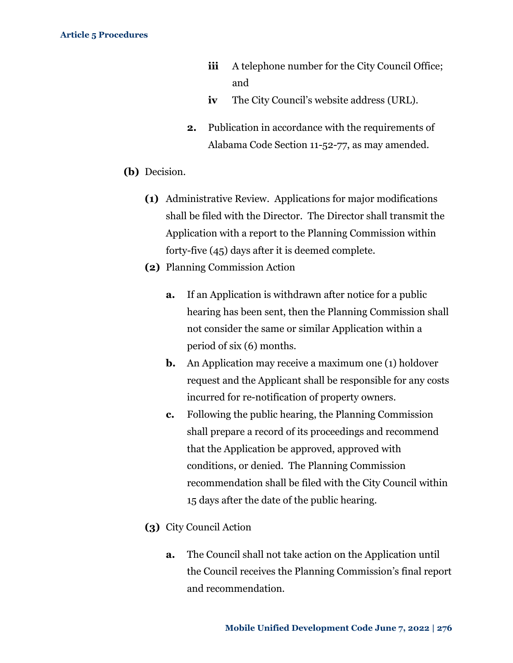- **iii** A telephone number for the City Council Office; and
- **iv** The City Council's website address (URL).
- **2.** Publication in accordance with the requirements of Alabama Code Section 11-52-77, as may amended.
- **(b)** Decision.
	- **(1)** Administrative Review. Applications for major modifications shall be filed with the Director. The Director shall transmit the Application with a report to the Planning Commission within forty-five (45) days after it is deemed complete.
	- **(2)** Planning Commission Action
		- **a.** If an Application is withdrawn after notice for a public hearing has been sent, then the Planning Commission shall not consider the same or similar Application within a period of six (6) months.
		- **b.** An Application may receive a maximum one (1) holdover request and the Applicant shall be responsible for any costs incurred for re-notification of property owners.
		- **c.** Following the public hearing, the Planning Commission shall prepare a record of its proceedings and recommend that the Application be approved, approved with conditions, or denied. The Planning Commission recommendation shall be filed with the City Council within 15 days after the date of the public hearing.
	- **(3)** City Council Action
		- **a.** The Council shall not take action on the Application until the Council receives the Planning Commission's final report and recommendation.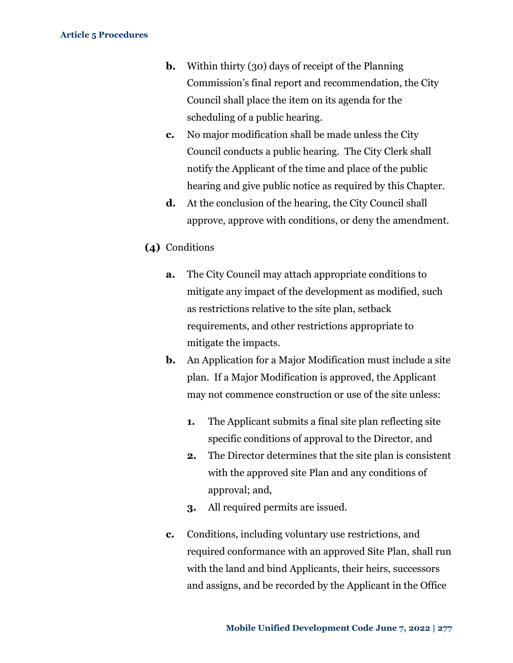- **b.** Within thirty (30) days of receipt of the Planning Commission's final report and recommendation, the City Council shall place the item on its agenda for the scheduling of a public hearing.
- **c.** No major modification shall be made unless the City Council conducts a public hearing. The City Clerk shall notify the Applicant of the time and place of the public hearing and give public notice as required by this Chapter.
- **d.** At the conclusion of the hearing, the City Council shall approve, approve with conditions, or deny the amendment.
- **(4)** Conditions
	- **a.** The City Council may attach appropriate conditions to mitigate any impact of the development as modified, such as restrictions relative to the site plan, setback requirements, and other restrictions appropriate to mitigate the impacts.
	- **b.** An Application for a Major Modification must include a site plan. If a Major Modification is approved, the Applicant may not commence construction or use of the site unless:
		- **1.** The Applicant submits a final site plan reflecting site specific conditions of approval to the Director, and
		- **2.** The Director determines that the site plan is consistent with the approved site Plan and any conditions of approval; and,
		- **3.** All required permits are issued.
	- **c.** Conditions, including voluntary use restrictions, and required conformance with an approved Site Plan, shall run with the land and bind Applicants, their heirs, successors and assigns, and be recorded by the Applicant in the Office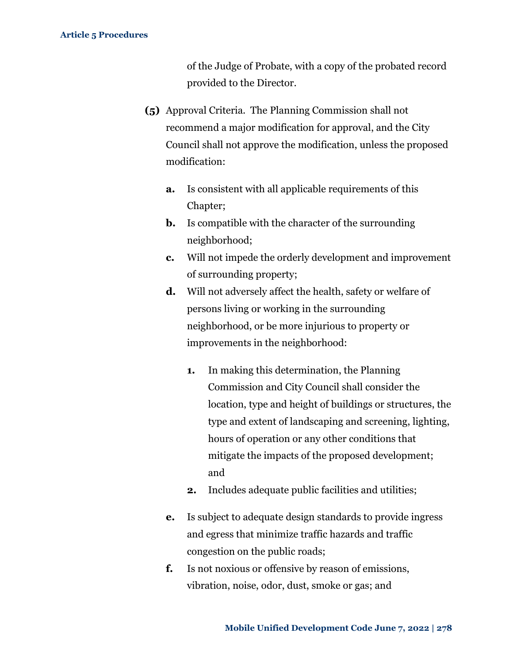of the Judge of Probate, with a copy of the probated record provided to the Director.

- **(5)** Approval Criteria. The Planning Commission shall not recommend a major modification for approval, and the City Council shall not approve the modification, unless the proposed modification:
	- **a.** Is consistent with all applicable requirements of this Chapter;
	- **b.** Is compatible with the character of the surrounding neighborhood;
	- **c.** Will not impede the orderly development and improvement of surrounding property;
	- **d.** Will not adversely affect the health, safety or welfare of persons living or working in the surrounding neighborhood, or be more injurious to property or improvements in the neighborhood:
		- **1.** In making this determination, the Planning Commission and City Council shall consider the location, type and height of buildings or structures, the type and extent of landscaping and screening, lighting, hours of operation or any other conditions that mitigate the impacts of the proposed development; and
		- **2.** Includes adequate public facilities and utilities;
	- **e.** Is subject to adequate design standards to provide ingress and egress that minimize traffic hazards and traffic congestion on the public roads;
	- **f.** Is not noxious or offensive by reason of emissions, vibration, noise, odor, dust, smoke or gas; and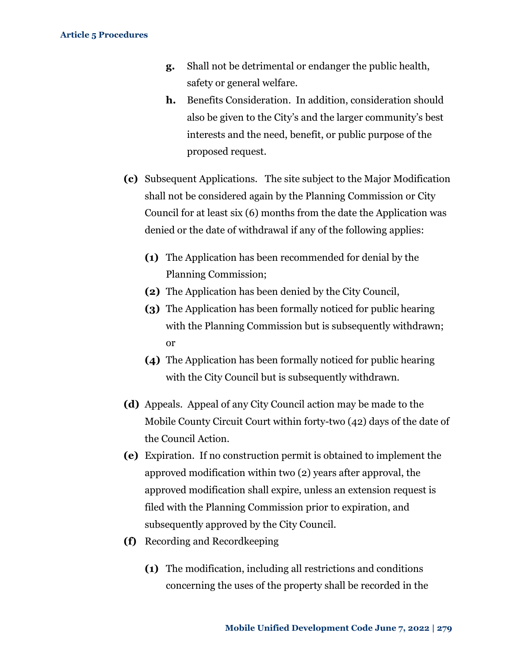- **g.** Shall not be detrimental or endanger the public health, safety or general welfare.
- **h.** Benefits Consideration. In addition, consideration should also be given to the City's and the larger community's best interests and the need, benefit, or public purpose of the proposed request.
- **(c)** Subsequent Applications. The site subject to the Major Modification shall not be considered again by the Planning Commission or City Council for at least six (6) months from the date the Application was denied or the date of withdrawal if any of the following applies:
	- **(1)** The Application has been recommended for denial by the Planning Commission;
	- **(2)** The Application has been denied by the City Council,
	- **(3)** The Application has been formally noticed for public hearing with the Planning Commission but is subsequently withdrawn; or
	- **(4)** The Application has been formally noticed for public hearing with the City Council but is subsequently withdrawn.
- **(d)** Appeals. Appeal of any City Council action may be made to the Mobile County Circuit Court within forty-two (42) days of the date of the Council Action.
- **(e)** Expiration. If no construction permit is obtained to implement the approved modification within two (2) years after approval, the approved modification shall expire, unless an extension request is filed with the Planning Commission prior to expiration, and subsequently approved by the City Council.
- **(f)** Recording and Recordkeeping
	- **(1)** The modification, including all restrictions and conditions concerning the uses of the property shall be recorded in the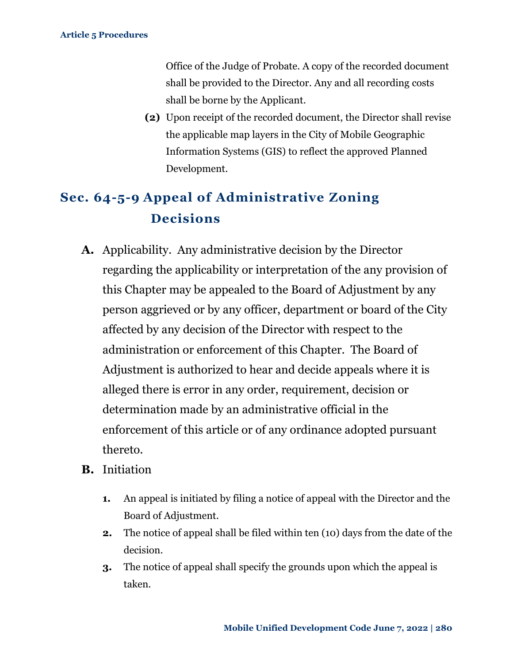Office of the Judge of Probate. A copy of the recorded document shall be provided to the Director. Any and all recording costs shall be borne by the Applicant.

**(2)** Upon receipt of the recorded document, the Director shall revise the applicable map layers in the City of Mobile Geographic Information Systems (GIS) to reflect the approved Planned Development.

# <span id="page-36-0"></span>**Sec. 64-5-9 Appeal of Administrative Zoning Decisions**

- **A.** Applicability. Any administrative decision by the Director regarding the applicability or interpretation of the any provision of this Chapter may be appealed to the Board of Adjustment by any person aggrieved or by any officer, department or board of the City affected by any decision of the Director with respect to the administration or enforcement of this Chapter. The Board of Adjustment is authorized to hear and decide appeals where it is alleged there is error in any order, requirement, decision or determination made by an administrative official in the enforcement of this article or of any ordinance adopted pursuant thereto.
- **B.** Initiation
	- **1.** An appeal is initiated by filing a notice of appeal with the Director and the Board of Adjustment.
	- **2.** The notice of appeal shall be filed within ten (10) days from the date of the decision.
	- **3.** The notice of appeal shall specify the grounds upon which the appeal is taken.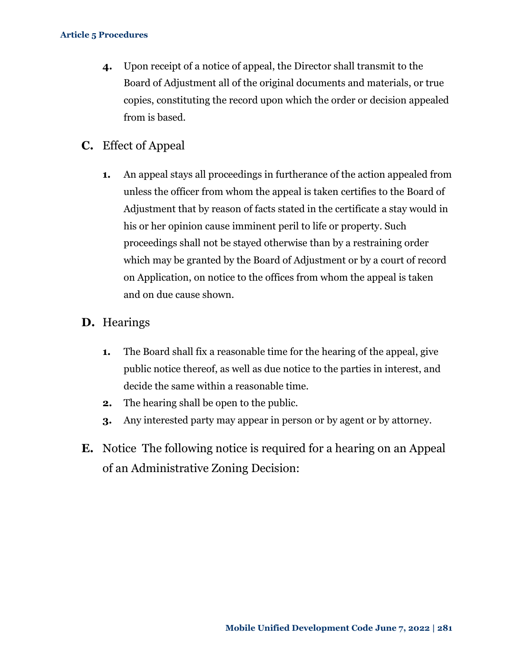- **4.** Upon receipt of a notice of appeal, the Director shall transmit to the Board of Adjustment all of the original documents and materials, or true copies, constituting the record upon which the order or decision appealed from is based.
- **C.** Effect of Appeal
	- **1.** An appeal stays all proceedings in furtherance of the action appealed from unless the officer from whom the appeal is taken certifies to the Board of Adjustment that by reason of facts stated in the certificate a stay would in his or her opinion cause imminent peril to life or property. Such proceedings shall not be stayed otherwise than by a restraining order which may be granted by the Board of Adjustment or by a court of record on Application, on notice to the offices from whom the appeal is taken and on due cause shown.

### **D.** Hearings

- **1.** The Board shall fix a reasonable time for the hearing of the appeal, give public notice thereof, as well as due notice to the parties in interest, and decide the same within a reasonable time.
- **2.** The hearing shall be open to the public.
- **3.** Any interested party may appear in person or by agent or by attorney.
- **E.** Notice The following notice is required for a hearing on an Appeal of an Administrative Zoning Decision: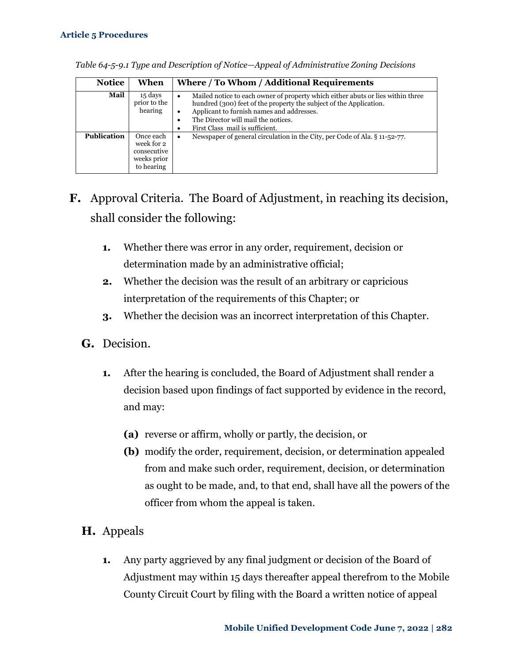| <b>Notice</b>      | When                                                                | Where / To Whom / Additional Requirements                                                                                                                                                                                                                                                                |
|--------------------|---------------------------------------------------------------------|----------------------------------------------------------------------------------------------------------------------------------------------------------------------------------------------------------------------------------------------------------------------------------------------------------|
| Mail               | 15 days<br>prior to the<br>hearing                                  | Mailed notice to each owner of property which either abuts or lies within three<br>٠<br>hundred (300) feet of the property the subject of the Application.<br>Applicant to furnish names and addresses.<br>$\bullet$<br>The Director will mail the notices.<br>٠<br>First Class mail is sufficient.<br>٠ |
| <b>Publication</b> | Once each<br>week for 2<br>consecutive<br>weeks prior<br>to hearing | Newspaper of general circulation in the City, per Code of Ala. § 11-52-77.<br>$\bullet$                                                                                                                                                                                                                  |

*Table 64-5-9.1 Type and Description of Notice—Appeal of Administrative Zoning Decisions*

- **F.** Approval Criteria. The Board of Adjustment, in reaching its decision, shall consider the following:
	- **1.** Whether there was error in any order, requirement, decision or determination made by an administrative official;
	- **2.** Whether the decision was the result of an arbitrary or capricious interpretation of the requirements of this Chapter; or
	- **3.** Whether the decision was an incorrect interpretation of this Chapter.
	- **G.** Decision.
		- **1.** After the hearing is concluded, the Board of Adjustment shall render a decision based upon findings of fact supported by evidence in the record, and may:
			- **(a)** reverse or affirm, wholly or partly, the decision, or
			- **(b)** modify the order, requirement, decision, or determination appealed from and make such order, requirement, decision, or determination as ought to be made, and, to that end, shall have all the powers of the officer from whom the appeal is taken.
	- **H.** Appeals
		- **1.** Any party aggrieved by any final judgment or decision of the Board of Adjustment may within 15 days thereafter appeal therefrom to the Mobile County Circuit Court by filing with the Board a written notice of appeal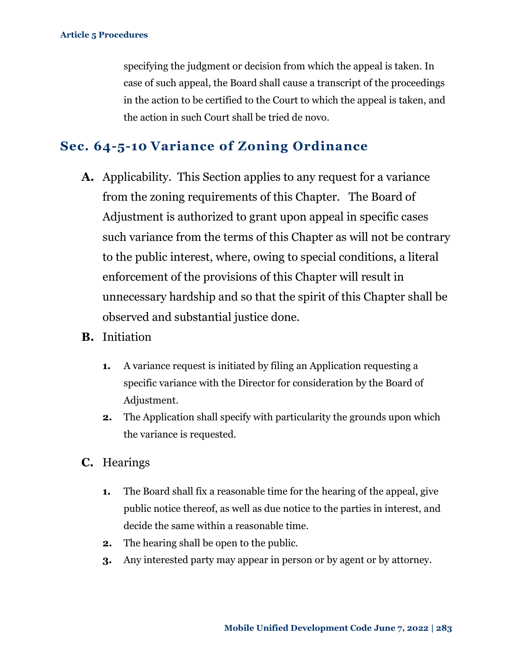specifying the judgment or decision from which the appeal is taken. In case of such appeal, the Board shall cause a transcript of the proceedings in the action to be certified to the Court to which the appeal is taken, and the action in such Court shall be tried de novo.

### <span id="page-39-0"></span>**Sec. 64-5-10 Variance of Zoning Ordinance**

- **A.** Applicability. This Section applies to any request for a variance from the zoning requirements of this Chapter. The Board of Adjustment is authorized to grant upon appeal in specific cases such variance from the terms of this Chapter as will not be contrary to the public interest, where, owing to special conditions, a literal enforcement of the provisions of this Chapter will result in unnecessary hardship and so that the spirit of this Chapter shall be observed and substantial justice done.
- **B.** Initiation
	- **1.** A variance request is initiated by filing an Application requesting a specific variance with the Director for consideration by the Board of Adjustment.
	- **2.** The Application shall specify with particularity the grounds upon which the variance is requested.
- **C.** Hearings
	- **1.** The Board shall fix a reasonable time for the hearing of the appeal, give public notice thereof, as well as due notice to the parties in interest, and decide the same within a reasonable time.
	- **2.** The hearing shall be open to the public.
	- **3.** Any interested party may appear in person or by agent or by attorney.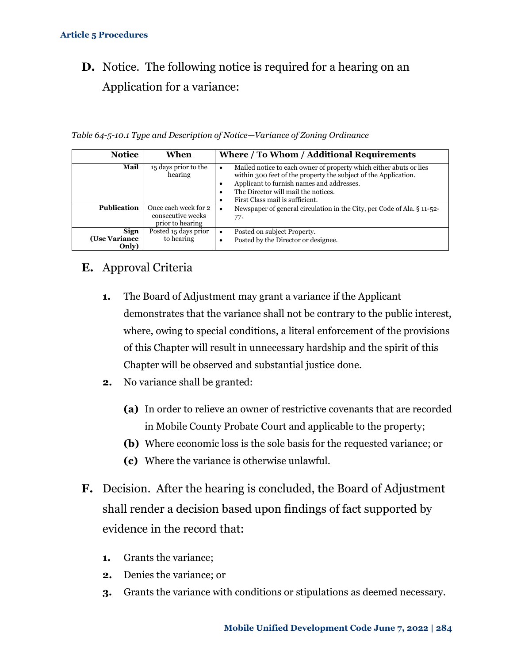## **D.** Notice. The following notice is required for a hearing on an Application for a variance:

*Table 64-5-10.1 Type and Description of Notice—Variance of Zoning Ordinance*

| <b>Notice</b>                         | When                                                          | Where / To Whom / Additional Requirements                                                                                                                                                                                                                                 |
|---------------------------------------|---------------------------------------------------------------|---------------------------------------------------------------------------------------------------------------------------------------------------------------------------------------------------------------------------------------------------------------------------|
| Mail                                  | 15 days prior to the<br>hearing                               | Mailed notice to each owner of property which either abuts or lies<br>$\bullet$<br>within 300 feet of the property the subject of the Application.<br>Applicant to furnish names and addresses.<br>The Director will mail the notices.<br>First Class mail is sufficient. |
| <b>Publication</b>                    | Once each week for 2<br>consecutive weeks<br>prior to hearing | Newspaper of general circulation in the City, per Code of Ala. § 11-52-<br>$\bullet$<br>77.                                                                                                                                                                               |
| <b>Sign</b><br>(Use Variance<br>Only) | Posted 15 days prior<br>to hearing                            | Posted on subject Property.<br>$\bullet$<br>Posted by the Director or designee.<br>٠                                                                                                                                                                                      |

### **E.** Approval Criteria

- **1.** The Board of Adjustment may grant a variance if the Applicant demonstrates that the variance shall not be contrary to the public interest, where, owing to special conditions, a literal enforcement of the provisions of this Chapter will result in unnecessary hardship and the spirit of this Chapter will be observed and substantial justice done.
- **2.** No variance shall be granted:
	- **(a)** In order to relieve an owner of restrictive covenants that are recorded in Mobile County Probate Court and applicable to the property;
	- **(b)** Where economic loss is the sole basis for the requested variance; or
	- **(c)** Where the variance is otherwise unlawful.
- **F.** Decision. After the hearing is concluded, the Board of Adjustment shall render a decision based upon findings of fact supported by evidence in the record that:
	- **1.** Grants the variance;
	- **2.** Denies the variance; or
	- **3.** Grants the variance with conditions or stipulations as deemed necessary.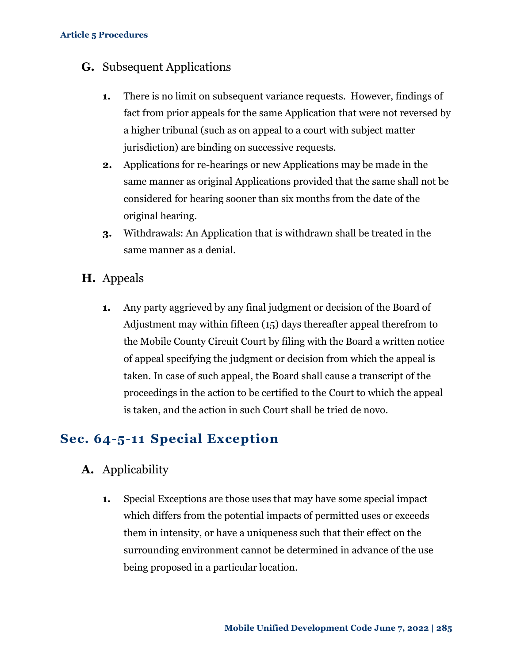### **G.** Subsequent Applications

- **1.** There is no limit on subsequent variance requests. However, findings of fact from prior appeals for the same Application that were not reversed by a higher tribunal (such as on appeal to a court with subject matter jurisdiction) are binding on successive requests.
- **2.** Applications for re-hearings or new Applications may be made in the same manner as original Applications provided that the same shall not be considered for hearing sooner than six months from the date of the original hearing.
- **3.** Withdrawals: An Application that is withdrawn shall be treated in the same manner as a denial.
- **H.** Appeals
	- **1.** Any party aggrieved by any final judgment or decision of the Board of Adjustment may within fifteen (15) days thereafter appeal therefrom to the Mobile County Circuit Court by filing with the Board a written notice of appeal specifying the judgment or decision from which the appeal is taken. In case of such appeal, the Board shall cause a transcript of the proceedings in the action to be certified to the Court to which the appeal is taken, and the action in such Court shall be tried de novo.

### <span id="page-41-0"></span>**Sec. 64-5-11 Special Exception**

- **A.** Applicability
	- **1.** Special Exceptions are those uses that may have some special impact which differs from the potential impacts of permitted uses or exceeds them in intensity, or have a uniqueness such that their effect on the surrounding environment cannot be determined in advance of the use being proposed in a particular location.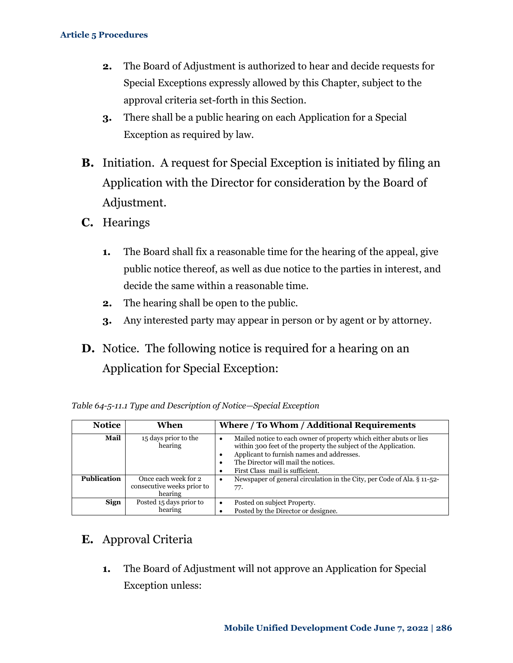- **2.** The Board of Adjustment is authorized to hear and decide requests for Special Exceptions expressly allowed by this Chapter, subject to the approval criteria set-forth in this Section.
- **3.** There shall be a public hearing on each Application for a Special Exception as required by law.
- **B.** Initiation. A request for Special Exception is initiated by filing an Application with the Director for consideration by the Board of Adjustment.
- **C.** Hearings
	- **1.** The Board shall fix a reasonable time for the hearing of the appeal, give public notice thereof, as well as due notice to the parties in interest, and decide the same within a reasonable time.
	- **2.** The hearing shall be open to the public.
	- **3.** Any interested party may appear in person or by agent or by attorney.
- **D.** Notice. The following notice is required for a hearing on an Application for Special Exception:

| <b>Notice</b>      | When                                                          | Where / To Whom / Additional Requirements                                                                                                                                                                                                                                                |
|--------------------|---------------------------------------------------------------|------------------------------------------------------------------------------------------------------------------------------------------------------------------------------------------------------------------------------------------------------------------------------------------|
| Mail               | 15 days prior to the<br>hearing                               | Mailed notice to each owner of property which either abuts or lies<br>$\bullet$<br>within 300 feet of the property the subject of the Application.<br>Applicant to furnish names and addresses.<br>٠<br>The Director will mail the notices.<br>٠<br>First Class mail is sufficient.<br>٠ |
| <b>Publication</b> | Once each week for 2<br>consecutive weeks prior to<br>hearing | Newspaper of general circulation in the City, per Code of Ala. § 11-52-<br>٠<br>77.                                                                                                                                                                                                      |
| Sign               | Posted 15 days prior to<br>hearing                            | Posted on subject Property.<br>٠<br>Posted by the Director or designee.                                                                                                                                                                                                                  |

|  | Table 64-5-11.1 Type and Description of Notice—Special Exception |  |
|--|------------------------------------------------------------------|--|
|  |                                                                  |  |

### **E.** Approval Criteria

**1.** The Board of Adjustment will not approve an Application for Special Exception unless: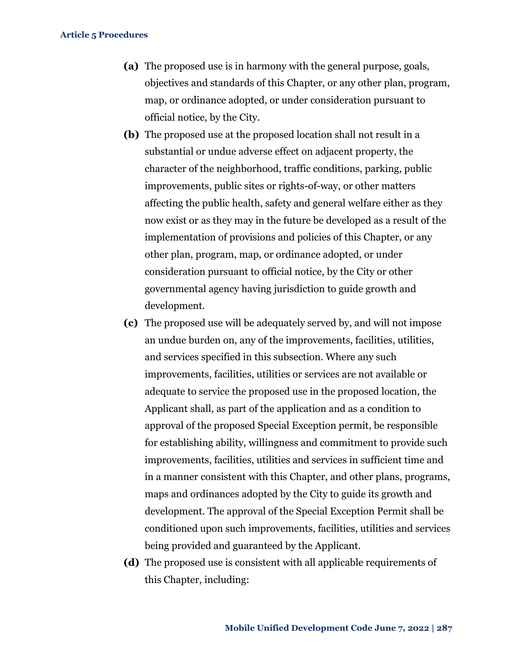- **(a)** The proposed use is in harmony with the general purpose, goals, objectives and standards of this Chapter, or any other plan, program, map, or ordinance adopted, or under consideration pursuant to official notice, by the City.
- **(b)** The proposed use at the proposed location shall not result in a substantial or undue adverse effect on adjacent property, the character of the neighborhood, traffic conditions, parking, public improvements, public sites or rights-of-way, or other matters affecting the public health, safety and general welfare either as they now exist or as they may in the future be developed as a result of the implementation of provisions and policies of this Chapter, or any other plan, program, map, or ordinance adopted, or under consideration pursuant to official notice, by the City or other governmental agency having jurisdiction to guide growth and development.
- **(c)** The proposed use will be adequately served by, and will not impose an undue burden on, any of the improvements, facilities, utilities, and services specified in this subsection. Where any such improvements, facilities, utilities or services are not available or adequate to service the proposed use in the proposed location, the Applicant shall, as part of the application and as a condition to approval of the proposed Special Exception permit, be responsible for establishing ability, willingness and commitment to provide such improvements, facilities, utilities and services in sufficient time and in a manner consistent with this Chapter, and other plans, programs, maps and ordinances adopted by the City to guide its growth and development. The approval of the Special Exception Permit shall be conditioned upon such improvements, facilities, utilities and services being provided and guaranteed by the Applicant.
- **(d)** The proposed use is consistent with all applicable requirements of this Chapter, including: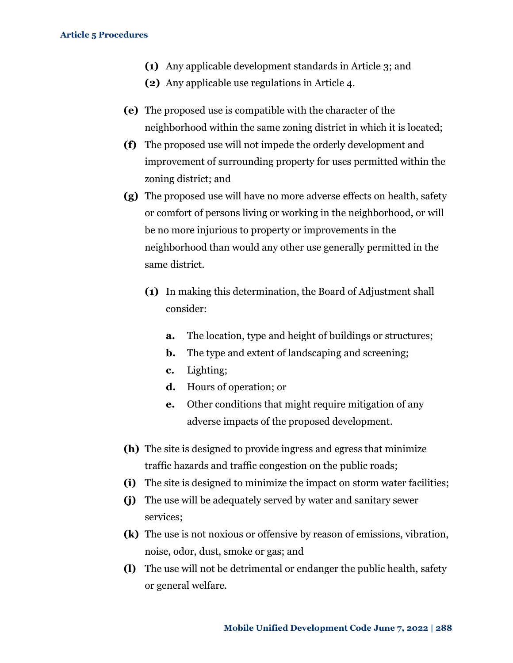- **(1)** Any applicable development standards in Article 3; and
- **(2)** Any applicable use regulations in Article 4.
- **(e)** The proposed use is compatible with the character of the neighborhood within the same zoning district in which it is located;
- **(f)** The proposed use will not impede the orderly development and improvement of surrounding property for uses permitted within the zoning district; and
- **(g)** The proposed use will have no more adverse effects on health, safety or comfort of persons living or working in the neighborhood, or will be no more injurious to property or improvements in the neighborhood than would any other use generally permitted in the same district.
	- **(1)** In making this determination, the Board of Adjustment shall consider:
		- **a.** The location, type and height of buildings or structures;
		- **b.** The type and extent of landscaping and screening;
		- **c.** Lighting;
		- **d.** Hours of operation; or
		- **e.** Other conditions that might require mitigation of any adverse impacts of the proposed development.
- **(h)** The site is designed to provide ingress and egress that minimize traffic hazards and traffic congestion on the public roads;
- **(i)** The site is designed to minimize the impact on storm water facilities;
- **(j)** The use will be adequately served by water and sanitary sewer services;
- **(k)** The use is not noxious or offensive by reason of emissions, vibration, noise, odor, dust, smoke or gas; and
- **(l)** The use will not be detrimental or endanger the public health, safety or general welfare.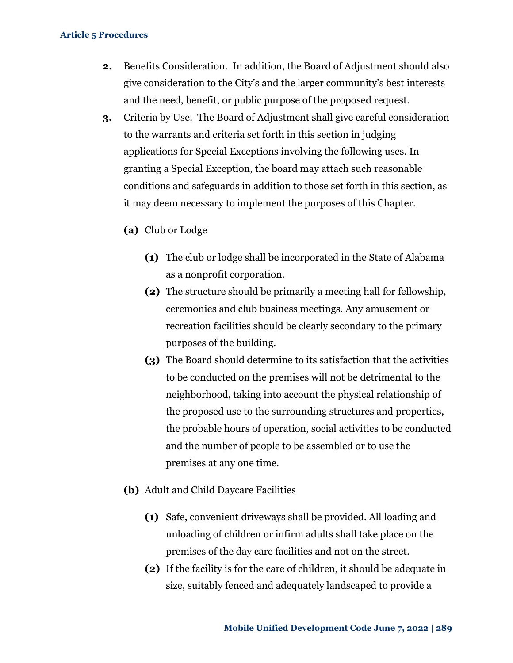- **2.** Benefits Consideration. In addition, the Board of Adjustment should also give consideration to the City's and the larger community's best interests and the need, benefit, or public purpose of the proposed request.
- **3.** Criteria by Use. The Board of Adjustment shall give careful consideration to the warrants and criteria set forth in this section in judging applications for Special Exceptions involving the following uses. In granting a Special Exception, the board may attach such reasonable conditions and safeguards in addition to those set forth in this section, as it may deem necessary to implement the purposes of this Chapter.
	- **(a)** Club or Lodge
		- **(1)** The club or lodge shall be incorporated in the State of Alabama as a nonprofit corporation.
		- **(2)** The structure should be primarily a meeting hall for fellowship, ceremonies and club business meetings. Any amusement or recreation facilities should be clearly secondary to the primary purposes of the building.
		- **(3)** The Board should determine to its satisfaction that the activities to be conducted on the premises will not be detrimental to the neighborhood, taking into account the physical relationship of the proposed use to the surrounding structures and properties, the probable hours of operation, social activities to be conducted and the number of people to be assembled or to use the premises at any one time.
	- **(b)** Adult and Child Daycare Facilities
		- **(1)** Safe, convenient driveways shall be provided. All loading and unloading of children or infirm adults shall take place on the premises of the day care facilities and not on the street.
		- **(2)** If the facility is for the care of children, it should be adequate in size, suitably fenced and adequately landscaped to provide a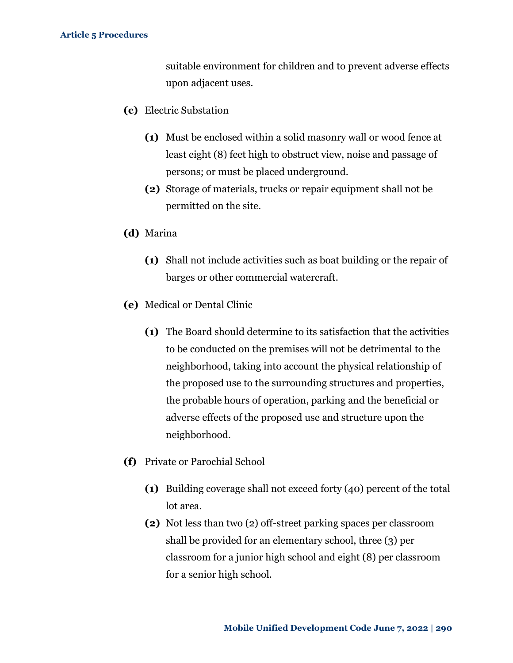suitable environment for children and to prevent adverse effects upon adjacent uses.

- **(c)** Electric Substation
	- **(1)** Must be enclosed within a solid masonry wall or wood fence at least eight (8) feet high to obstruct view, noise and passage of persons; or must be placed underground.
	- **(2)** Storage of materials, trucks or repair equipment shall not be permitted on the site.
- **(d)** Marina
	- **(1)** Shall not include activities such as boat building or the repair of barges or other commercial watercraft.
- **(e)** Medical or Dental Clinic
	- **(1)** The Board should determine to its satisfaction that the activities to be conducted on the premises will not be detrimental to the neighborhood, taking into account the physical relationship of the proposed use to the surrounding structures and properties, the probable hours of operation, parking and the beneficial or adverse effects of the proposed use and structure upon the neighborhood.
- **(f)** Private or Parochial School
	- **(1)** Building coverage shall not exceed forty (40) percent of the total lot area.
	- **(2)** Not less than two (2) off-street parking spaces per classroom shall be provided for an elementary school, three (3) per classroom for a junior high school and eight (8) per classroom for a senior high school.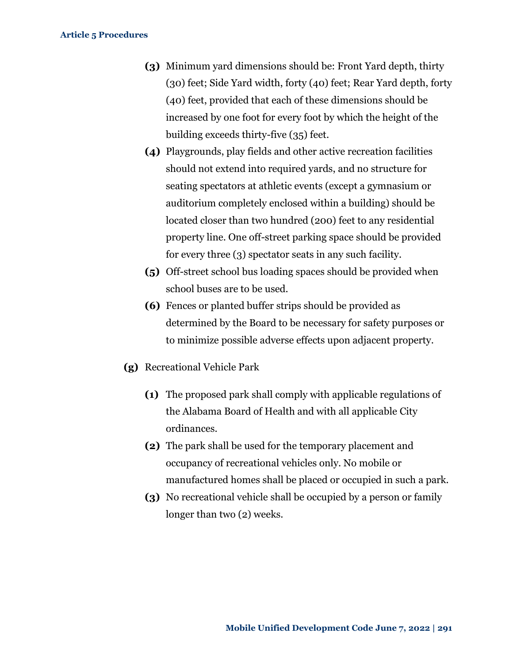- **(3)** Minimum yard dimensions should be: Front Yard depth, thirty (30) feet; Side Yard width, forty (40) feet; Rear Yard depth, forty (40) feet, provided that each of these dimensions should be increased by one foot for every foot by which the height of the building exceeds thirty-five (35) feet.
- **(4)** Playgrounds, play fields and other active recreation facilities should not extend into required yards, and no structure for seating spectators at athletic events (except a gymnasium or auditorium completely enclosed within a building) should be located closer than two hundred (200) feet to any residential property line. One off-street parking space should be provided for every three (3) spectator seats in any such facility.
- **(5)** Off-street school bus loading spaces should be provided when school buses are to be used.
- **(6)** Fences or planted buffer strips should be provided as determined by the Board to be necessary for safety purposes or to minimize possible adverse effects upon adjacent property.
- **(g)** Recreational Vehicle Park
	- **(1)** The proposed park shall comply with applicable regulations of the Alabama Board of Health and with all applicable City ordinances.
	- **(2)** The park shall be used for the temporary placement and occupancy of recreational vehicles only. No mobile or manufactured homes shall be placed or occupied in such a park.
	- **(3)** No recreational vehicle shall be occupied by a person or family longer than two (2) weeks.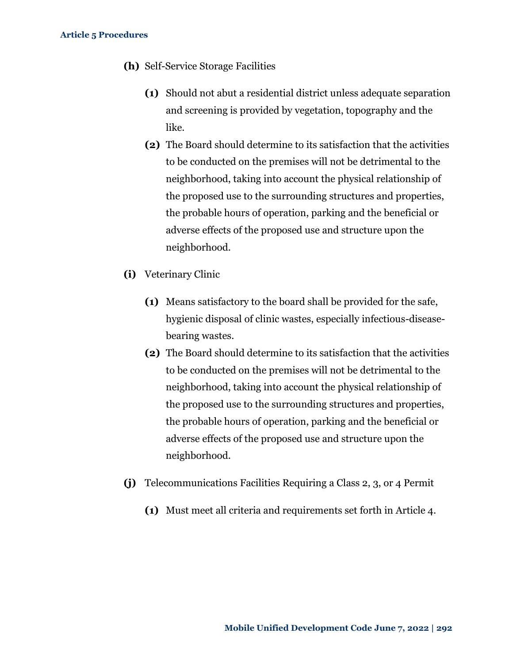- **(h)** Self-Service Storage Facilities
	- **(1)** Should not abut a residential district unless adequate separation and screening is provided by vegetation, topography and the like.
	- **(2)** The Board should determine to its satisfaction that the activities to be conducted on the premises will not be detrimental to the neighborhood, taking into account the physical relationship of the proposed use to the surrounding structures and properties, the probable hours of operation, parking and the beneficial or adverse effects of the proposed use and structure upon the neighborhood.
- **(i)** Veterinary Clinic
	- **(1)** Means satisfactory to the board shall be provided for the safe, hygienic disposal of clinic wastes, especially infectious-diseasebearing wastes.
	- **(2)** The Board should determine to its satisfaction that the activities to be conducted on the premises will not be detrimental to the neighborhood, taking into account the physical relationship of the proposed use to the surrounding structures and properties, the probable hours of operation, parking and the beneficial or adverse effects of the proposed use and structure upon the neighborhood.
- **(j)** Telecommunications Facilities Requiring a Class 2, 3, or 4 Permit
	- **(1)** Must meet all criteria and requirements set forth in Article 4.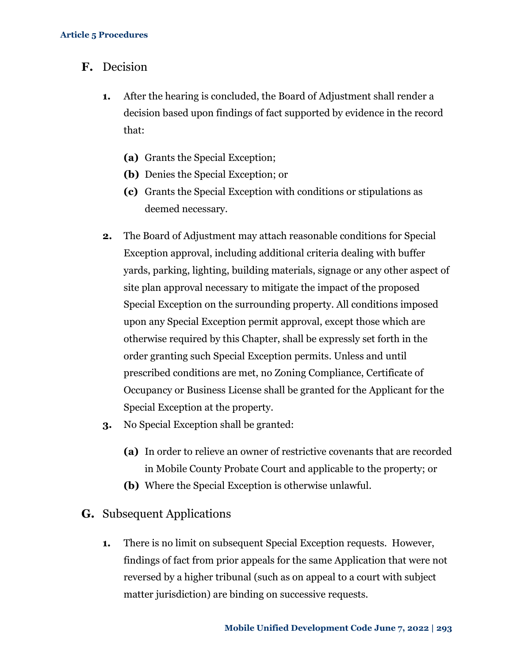- **F.** Decision
	- **1.** After the hearing is concluded, the Board of Adjustment shall render a decision based upon findings of fact supported by evidence in the record that:
		- **(a)** Grants the Special Exception;
		- **(b)** Denies the Special Exception; or
		- **(c)** Grants the Special Exception with conditions or stipulations as deemed necessary.
	- **2.** The Board of Adjustment may attach reasonable conditions for Special Exception approval, including additional criteria dealing with buffer yards, parking, lighting, building materials, signage or any other aspect of site plan approval necessary to mitigate the impact of the proposed Special Exception on the surrounding property. All conditions imposed upon any Special Exception permit approval, except those which are otherwise required by this Chapter, shall be expressly set forth in the order granting such Special Exception permits. Unless and until prescribed conditions are met, no Zoning Compliance, Certificate of Occupancy or Business License shall be granted for the Applicant for the Special Exception at the property.
	- **3.** No Special Exception shall be granted:
		- **(a)** In order to relieve an owner of restrictive covenants that are recorded in Mobile County Probate Court and applicable to the property; or
		- **(b)** Where the Special Exception is otherwise unlawful.
- **G.** Subsequent Applications
	- **1.** There is no limit on subsequent Special Exception requests. However, findings of fact from prior appeals for the same Application that were not reversed by a higher tribunal (such as on appeal to a court with subject matter jurisdiction) are binding on successive requests.